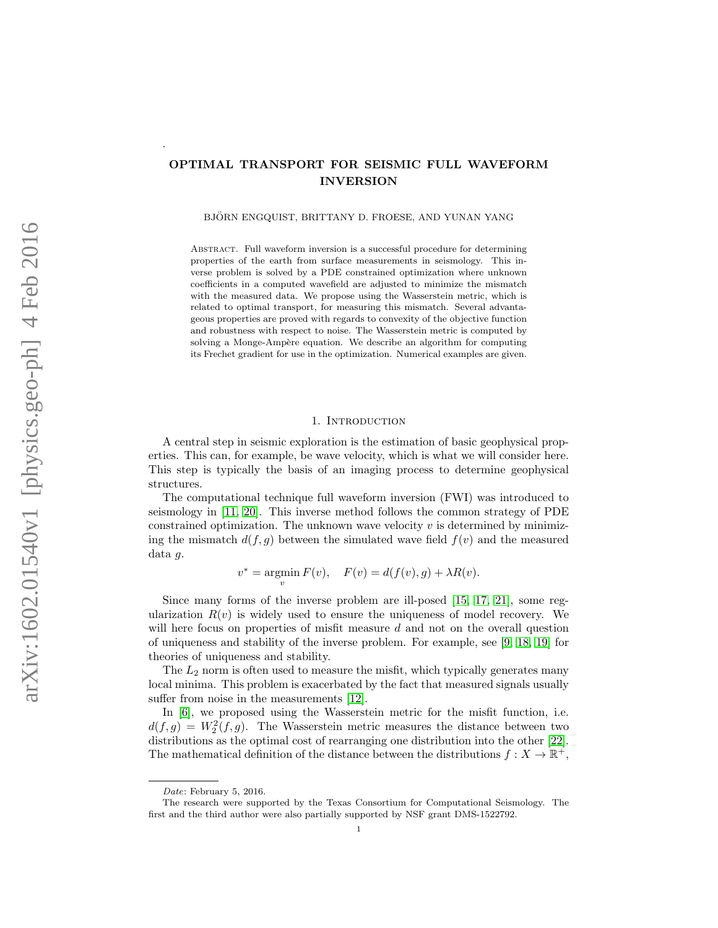# OPTIMAL TRANSPORT FOR SEISMIC FULL WAVEFORM INVERSION

BJÖRN ENGQUIST, BRITTANY D. FROESE, AND YUNAN YANG

Abstract. Full waveform inversion is a successful procedure for determining properties of the earth from surface measurements in seismology. This inverse problem is solved by a PDE constrained optimization where unknown coefficients in a computed wavefield are adjusted to minimize the mismatch with the measured data. We propose using the Wasserstein metric, which is related to optimal transport, for measuring this mismatch. Several advantageous properties are proved with regards to convexity of the objective function and robustness with respect to noise. The Wasserstein metric is computed by solving a Monge-Ampère equation. We describe an algorithm for computing its Frechet gradient for use in the optimization. Numerical examples are given.

# 1. INTRODUCTION

A central step in seismic exploration is the estimation of basic geophysical properties. This can, for example, be wave velocity, which is what we will consider here. This step is typically the basis of an imaging process to determine geophysical structures.

The computational technique full waveform inversion (FWI) was introduced to seismology in [\[11,](#page-23-0) [20\]](#page-23-1). This inverse method follows the common strategy of PDE constrained optimization. The unknown wave velocity  $v$  is determined by minimizing the mismatch  $d(f, g)$  between the simulated wave field  $f(v)$  and the measured data g.

$$
v^* = \operatorname*{argmin}_{v} F(v), \quad F(v) = d(f(v), g) + \lambda R(v).
$$

Since many forms of the inverse problem are ill-posed [\[15,](#page-23-2) [17,](#page-23-3) [21\]](#page-24-0), some regularization  $R(v)$  is widely used to ensure the uniqueness of model recovery. We will here focus on properties of misfit measure d and not on the overall question of uniqueness and stability of the inverse problem. For example, see [\[9,](#page-23-4) [18,](#page-23-5) [19\]](#page-23-6) for theories of uniqueness and stability.

The  $L_2$  norm is often used to measure the misfit, which typically generates many local minima. This problem is exacerbated by the fact that measured signals usually suffer from noise in the measurements [\[12\]](#page-23-7).

In [\[6\]](#page-23-8), we proposed using the Wasserstein metric for the misfit function, i.e.  $d(f,g) = W_2^2(f,g)$ . The Wasserstein metric measures the distance between two distributions as the optimal cost of rearranging one distribution into the other [\[22\]](#page-24-1). The mathematical definition of the distance between the distributions  $f: X \to \mathbb{R}^+$ ,

.

Date: February 5, 2016.

The research were supported by the Texas Consortium for Computational Seismology. The first and the third author were also partially supported by NSF grant DMS-1522792.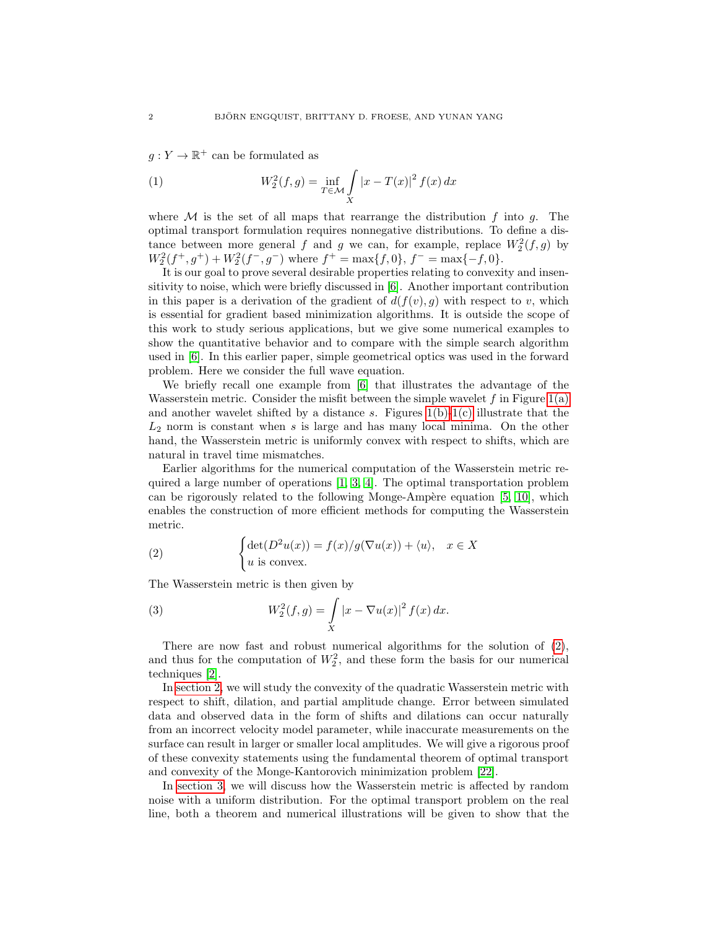<span id="page-1-1"></span> $g: Y \to \mathbb{R}^+$  can be formulated as

(1) 
$$
W_2^2(f,g) = \inf_{T \in \mathcal{M}} \int_{X} |x - T(x)|^2 f(x) dx
$$

where  $\mathcal M$  is the set of all maps that rearrange the distribution f into g. The optimal transport formulation requires nonnegative distributions. To define a distance between more general f and g we can, for example, replace  $W_2^2(f,g)$  by  $W_2^2(f^+,g^+) + W_2^2(f^-,g^-)$  where  $f^+ = \max\{f,0\}, f^- = \max\{-f,0\}.$ 

It is our goal to prove several desirable properties relating to convexity and insensitivity to noise, which were briefly discussed in [\[6\]](#page-23-8). Another important contribution in this paper is a derivation of the gradient of  $d(f(v), g)$  with respect to v, which is essential for gradient based minimization algorithms. It is outside the scope of this work to study serious applications, but we give some numerical examples to show the quantitative behavior and to compare with the simple search algorithm used in [\[6\]](#page-23-8). In this earlier paper, simple geometrical optics was used in the forward problem. Here we consider the full wave equation.

We briefly recall one example from [\[6\]](#page-23-8) that illustrates the advantage of the Wasserstein metric. Consider the misfit between the simple wavelet  $f$  in Figure [1\(a\)](#page-2-0) and another wavelet shifted by a distance s. Figures  $1(b)-1(c)$  $1(b)-1(c)$  illustrate that the  $L_2$  norm is constant when s is large and has many local minima. On the other hand, the Wasserstein metric is uniformly convex with respect to shifts, which are natural in travel time mismatches.

Earlier algorithms for the numerical computation of the Wasserstein metric required a large number of operations [\[1,](#page-23-9) [3,](#page-23-10) [4\]](#page-23-11). The optimal transportation problem can be rigorously related to the following Monge-Ampère equation  $[5, 10]$  $[5, 10]$ , which enables the construction of more efficient methods for computing the Wasserstein metric.

<span id="page-1-0"></span>(2) 
$$
\begin{cases} \det(D^2u(x)) = f(x)/g(\nabla u(x)) + \langle u \rangle, & x \in X \\ u \text{ is convex.} \end{cases}
$$

The Wasserstein metric is then given by

(3) 
$$
W_2^2(f,g) = \int\limits_X |x - \nabla u(x)|^2 f(x) dx.
$$

There are now fast and robust numerical algorithms for the solution of [\(2\)](#page-1-0), and thus for the computation of  $W_2^2$ , and these form the basis for our numerical techniques [\[2\]](#page-23-14).

In [section 2,](#page-3-0) we will study the convexity of the quadratic Wasserstein metric with respect to shift, dilation, and partial amplitude change. Error between simulated data and observed data in the form of shifts and dilations can occur naturally from an incorrect velocity model parameter, while inaccurate measurements on the surface can result in larger or smaller local amplitudes. We will give a rigorous proof of these convexity statements using the fundamental theorem of optimal transport and convexity of the Monge-Kantorovich minimization problem [\[22\]](#page-24-1).

In [section 3,](#page-6-0) we will discuss how the Wasserstein metric is affected by random noise with a uniform distribution. For the optimal transport problem on the real line, both a theorem and numerical illustrations will be given to show that the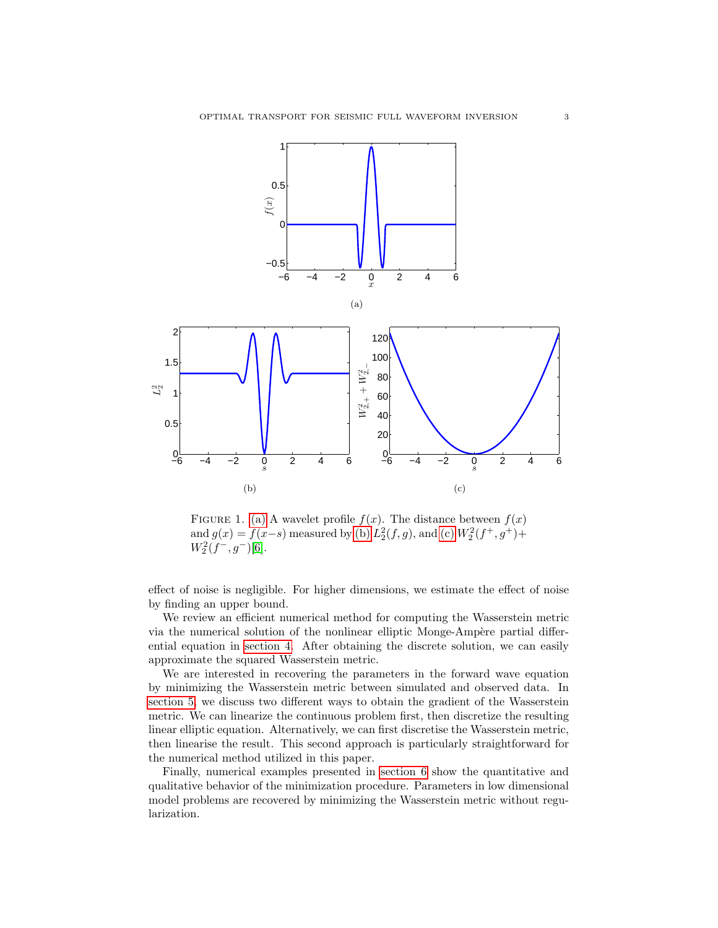<span id="page-2-1"></span><span id="page-2-0"></span>

<span id="page-2-2"></span>FIGURE 1. [\(a\)](#page-2-0) A wavelet profile  $f(x)$ . The distance between  $f(x)$ and  $g(x) = f(x-s)$  measured by [\(b\)](#page-2-1)  $L_2^2(f, g)$ , and [\(c\)](#page-2-2)  $W_2^2(f^+, g^+)$ +  $W_2^2(f^-,g^-)[6].$  $W_2^2(f^-,g^-)[6].$  $W_2^2(f^-,g^-)[6].$ 

effect of noise is negligible. For higher dimensions, we estimate the effect of noise by finding an upper bound.

We review an efficient numerical method for computing the Wasserstein metric via the numerical solution of the nonlinear elliptic Monge-Ampère partial differential equation in [section 4.](#page-11-0) After obtaining the discrete solution, we can easily approximate the squared Wasserstein metric.

We are interested in recovering the parameters in the forward wave equation by minimizing the Wasserstein metric between simulated and observed data. In [section 5,](#page-14-0) we discuss two different ways to obtain the gradient of the Wasserstein metric. We can linearize the continuous problem first, then discretize the resulting linear elliptic equation. Alternatively, we can first discretise the Wasserstein metric, then linearise the result. This second approach is particularly straightforward for the numerical method utilized in this paper.

Finally, numerical examples presented in [section 6](#page-16-0) show the quantitative and qualitative behavior of the minimization procedure. Parameters in low dimensional model problems are recovered by minimizing the Wasserstein metric without regularization.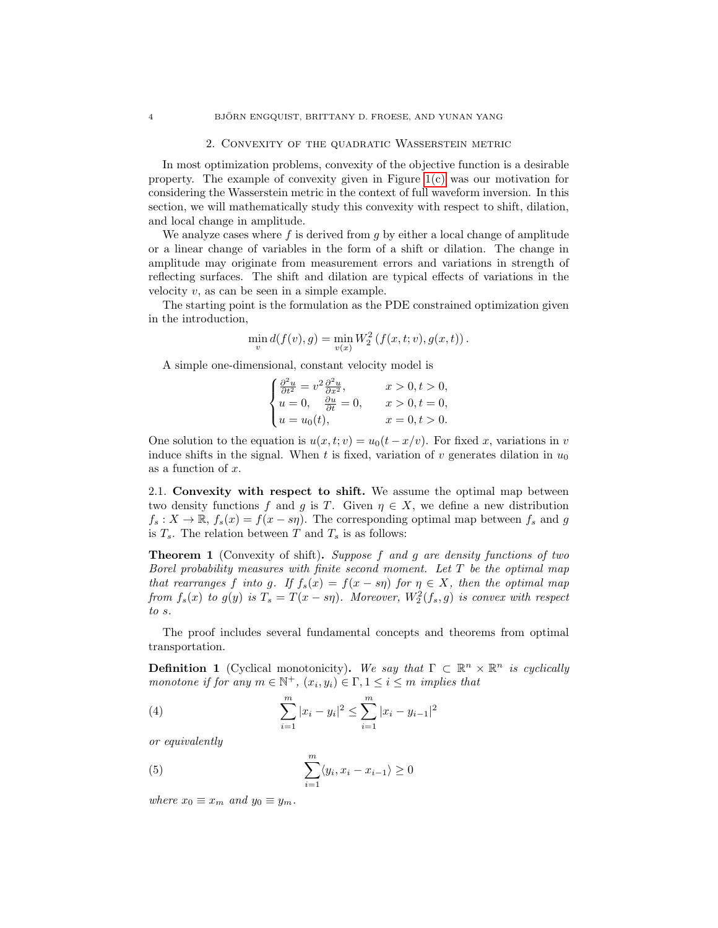#### 2. Convexity of the quadratic Wasserstein metric

<span id="page-3-0"></span>In most optimization problems, convexity of the objective function is a desirable property. The example of convexity given in Figure [1\(c\)](#page-2-2) was our motivation for considering the Wasserstein metric in the context of full waveform inversion. In this section, we will mathematically study this convexity with respect to shift, dilation, and local change in amplitude.

We analyze cases where  $f$  is derived from  $g$  by either a local change of amplitude or a linear change of variables in the form of a shift or dilation. The change in amplitude may originate from measurement errors and variations in strength of reflecting surfaces. The shift and dilation are typical effects of variations in the velocity  $v$ , as can be seen in a simple example.

The starting point is the formulation as the PDE constrained optimization given in the introduction,

$$
\min_{v} d(f(v), g) = \min_{v(x)} W_2^2(f(x, t; v), g(x, t)).
$$

A simple one-dimensional, constant velocity model is

$$
\begin{cases} \frac{\partial^2 u}{\partial t^2} = v^2 \frac{\partial^2 u}{\partial x^2}, & x > 0, t > 0, \\ u = 0, \quad \frac{\partial u}{\partial t} = 0, & x > 0, t = 0, \\ u = u_0(t), & x = 0, t > 0. \end{cases}
$$

One solution to the equation is  $u(x, t; v) = u_0(t - x/v)$ . For fixed x, variations in v induce shifts in the signal. When t is fixed, variation of v generates dilation in  $u_0$ as a function of x.

2.1. Convexity with respect to shift. We assume the optimal map between two density functions f and g is T. Given  $\eta \in X$ , we define a new distribution  $f_s: X \to \mathbb{R}, f_s(x) = f(x - s\eta)$ . The corresponding optimal map between  $f_s$  and g is  $T_s$ . The relation between T and  $T_s$  is as follows:

<span id="page-3-1"></span>**Theorem 1** (Convexity of shift). Suppose f and g are density functions of two Borel probability measures with finite second moment. Let  $T$  be the optimal map that rearranges f into g. If  $f_s(x) = f(x - s\eta)$  for  $\eta \in X$ , then the optimal map from  $f_s(x)$  to  $g(y)$  is  $T_s = T(x - s\eta)$ . Moreover,  $W_2^2(f_s, g)$  is convex with respect to s.

The proof includes several fundamental concepts and theorems from optimal transportation.

<span id="page-3-2"></span>**Definition 1** (Cyclical monotonicity). We say that  $\Gamma \subset \mathbb{R}^n \times \mathbb{R}^n$  is cyclically monotone if for any  $m \in \mathbb{N}^+$ ,  $(x_i, y_i) \in \Gamma$ ,  $1 \leq i \leq m$  implies that

(4) 
$$
\sum_{i=1}^{m} |x_i - y_i|^2 \le \sum_{i=1}^{m} |x_i - y_{i-1}|^2
$$

or equivalently

(5) 
$$
\sum_{i=1}^{m} \langle y_i, x_i - x_{i-1} \rangle \ge 0
$$

where  $x_0 \equiv x_m$  and  $y_0 \equiv y_m$ .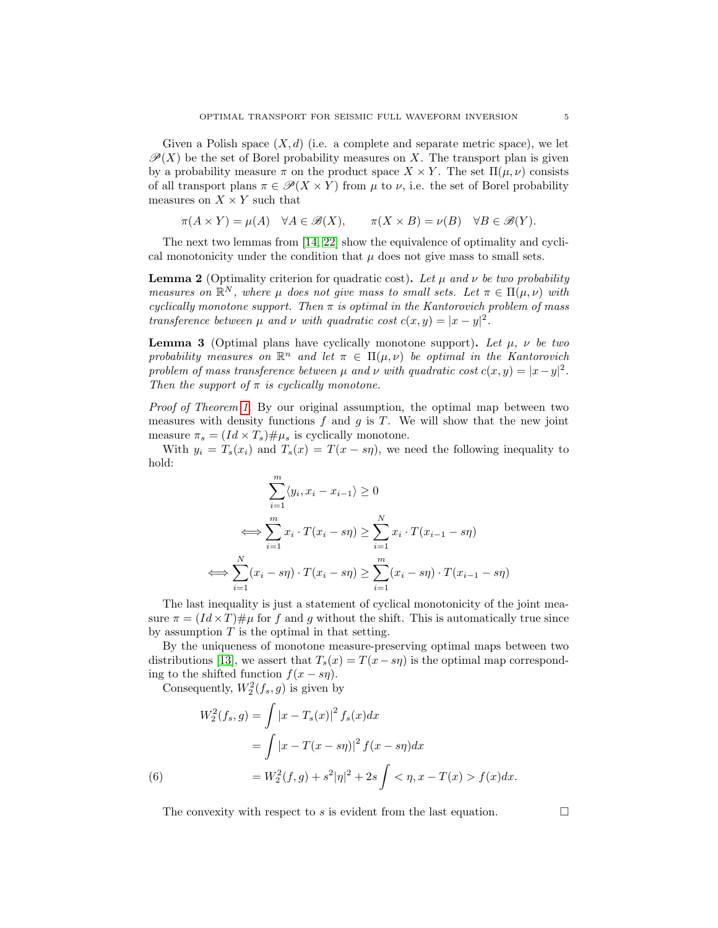Given a Polish space  $(X, d)$  (i.e. a complete and separate metric space), we let  $\mathscr{P}(X)$  be the set of Borel probability measures on X. The transport plan is given by a probability measure  $\pi$  on the product space  $X \times Y$ . The set  $\Pi(\mu, \nu)$  consists of all transport plans  $\pi \in \mathcal{P}(X \times Y)$  from  $\mu$  to  $\nu$ , i.e. the set of Borel probability measures on  $X \times Y$  such that

$$
\pi(A \times Y) = \mu(A) \quad \forall A \in \mathcal{B}(X), \qquad \pi(X \times B) = \nu(B) \quad \forall B \in \mathcal{B}(Y).
$$

The next two lemmas from [\[14,](#page-23-15) [22\]](#page-24-1) show the equivalence of optimality and cyclical monotonicity under the condition that  $\mu$  does not give mass to small sets.

<span id="page-4-0"></span>**Lemma 2** (Optimality criterion for quadratic cost). Let  $\mu$  and  $\nu$  be two probability measures on  $\mathbb{R}^N$ , where  $\mu$  does not give mass to small sets. Let  $\pi \in \Pi(\mu, \nu)$  with cyclically monotone support. Then  $\pi$  is optimal in the Kantorovich problem of mass transference between  $\mu$  and  $\nu$  with quadratic cost  $c(x, y) = |x - y|^2$ .

<span id="page-4-1"></span>**Lemma 3** (Optimal plans have cyclically monotone support). Let  $\mu$ ,  $\nu$  be two probability measures on  $\mathbb{R}^n$  and let  $\pi \in \Pi(\mu, \nu)$  be optimal in the Kantorovich problem of mass transference between  $\mu$  and  $\nu$  with quadratic cost  $c(x, y) = |x - y|^2$ . Then the support of  $\pi$  is cyclically monotone.

Proof of Theorem [1.](#page-3-1) By our original assumption, the optimal map between two measures with density functions  $f$  and  $g$  is  $T$ . We will show that the new joint measure  $\pi_s = (Id \times T_s) \# \mu_s$  is cyclically monotone.

With  $y_i = T_s(x_i)$  and  $T_s(x) = T(x - s\eta)$ , we need the following inequality to hold:

$$
\sum_{i=1}^{m} \langle y_i, x_i - x_{i-1} \rangle \ge 0
$$
  

$$
\iff \sum_{i=1}^{m} x_i \cdot T(x_i - s\eta) \ge \sum_{i=1}^{N} x_i \cdot T(x_{i-1} - s\eta)
$$
  

$$
\iff \sum_{i=1}^{N} (x_i - s\eta) \cdot T(x_i - s\eta) \ge \sum_{i=1}^{m} (x_i - s\eta) \cdot T(x_{i-1} - s\eta)
$$

The last inequality is just a statement of cyclical monotonicity of the joint measure  $\pi = (Id \times T) \# \mu$  for f and g without the shift. This is automatically true since by assumption  $T$  is the optimal in that setting.

By the uniqueness of monotone measure-preserving optimal maps between two distributions [\[13\]](#page-23-16), we assert that  $T_s(x) = T(x - s\eta)$  is the optimal map corresponding to the shifted function  $f(x - s\eta)$ .

Consequently,  $W_2^2(f_s, g)$  is given by

(6)  
\n
$$
W_2^2(f_s, g) = \int |x - T_s(x)|^2 f_s(x) dx
$$
\n
$$
= \int |x - T(x - s\eta)|^2 f(x - s\eta) dx
$$
\n
$$
= W_2^2(f, g) + s^2 |\eta|^2 + 2s \int \langle \eta, x - T(x) \rangle f(x) dx.
$$

The convexity with respect to s is evident from the last equation.  $\Box$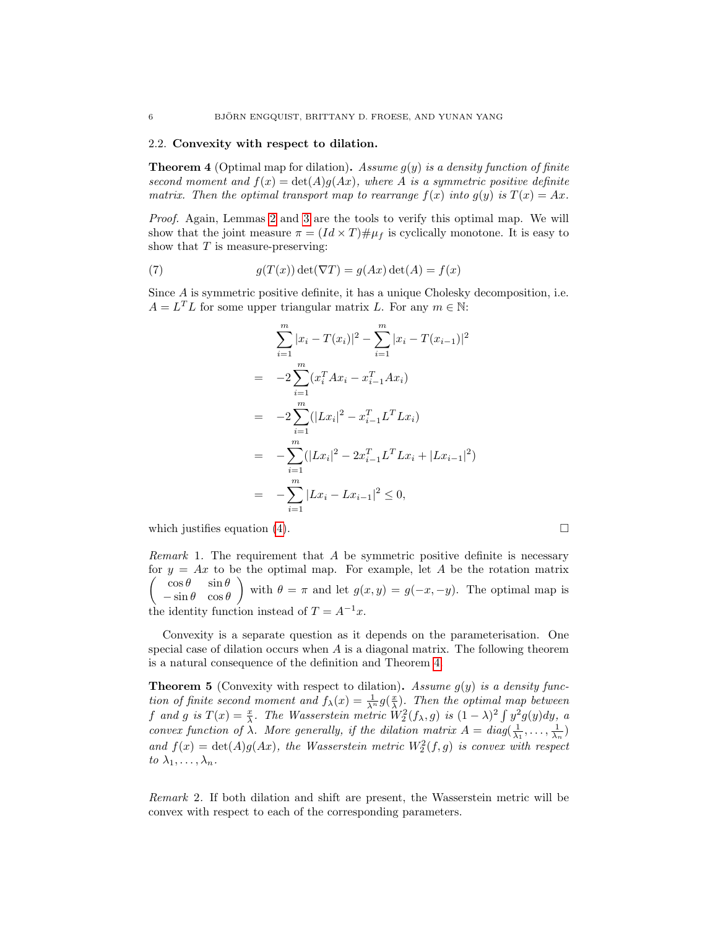# 2.2. Convexity with respect to dilation.

<span id="page-5-0"></span>**Theorem 4** (Optimal map for dilation). Assume  $g(y)$  is a density function of finite second moment and  $f(x) = det(A)g(Ax)$ , where A is a symmetric positive definite matrix. Then the optimal transport map to rearrange  $f(x)$  into  $g(y)$  is  $T(x) = Ax$ .

Proof. Again, Lemmas [2](#page-4-0) and [3](#page-4-1) are the tools to verify this optimal map. We will show that the joint measure  $\pi = (Id \times T) \# \mu_f$  is cyclically monotone. It is easy to show that  $T$  is measure-preserving:

(7) 
$$
g(T(x)) \det(\nabla T) = g(Ax) \det(A) = f(x)
$$

Since A is symmetric positive definite, it has a unique Cholesky decomposition, i.e.  $A = L<sup>T</sup>L$  for some upper triangular matrix L. For any  $m \in \mathbb{N}$ :

$$
\sum_{i=1}^{m} |x_i - T(x_i)|^2 - \sum_{i=1}^{m} |x_i - T(x_{i-1})|^2
$$
  
= 
$$
-2 \sum_{i=1}^{m} (x_i^T A x_i - x_{i-1}^T A x_i)
$$
  
= 
$$
-2 \sum_{i=1}^{m} (|Lx_i|^2 - x_{i-1}^T L^T L x_i)
$$
  
= 
$$
- \sum_{i=1}^{m} (|Lx_i|^2 - 2x_{i-1}^T L^T L x_i + |Lx_{i-1}|^2)
$$
  
= 
$$
- \sum_{i=1}^{m} |Lx_i - Lx_{i-1}|^2 \le 0,
$$

which justifies equation [\(4\)](#page-3-2).  $\Box$ 

*Remark* 1. The requirement that  $\vec{A}$  be symmetric positive definite is necessary for  $y = Ax$  to be the optimal map. For example, let A be the rotation matrix  $\int \cos \theta = \sin \theta$  $-\sin\theta \quad \cos\theta$ with  $\theta = \pi$  and let  $g(x, y) = g(-x, -y)$ . The optimal map is the identity function instead of  $T = A^{-1}x$ .

Convexity is a separate question as it depends on the parameterisation. One special case of dilation occurs when  $A$  is a diagonal matrix. The following theorem is a natural consequence of the definition and Theorem [4.](#page-5-0)

**Theorem 5** (Convexity with respect to dilation). Assume  $g(y)$  is a density function of finite second moment and  $f_{\lambda}(x) = \frac{1}{\lambda^{n}} g(\frac{x}{\lambda})$ . Then the optimal map between f and g is  $T(x) = \frac{x}{\lambda}$ . The Wasserstein metric  $W_2^2(f_\lambda, g)$  is  $(1 - \lambda)^2 \int y^2 g(y) dy$ , a convex function of  $\lambda$ . More generally, if the dilation matrix  $A = diag(\frac{1}{\lambda_1}, \ldots, \frac{1}{\lambda_n})$ and  $f(x) = \det(A)g(Ax)$ , the Wasserstein metric  $W_2^2(f,g)$  is convex with respect to  $\lambda_1, \ldots, \lambda_n$ .

Remark 2. If both dilation and shift are present, the Wasserstein metric will be convex with respect to each of the corresponding parameters.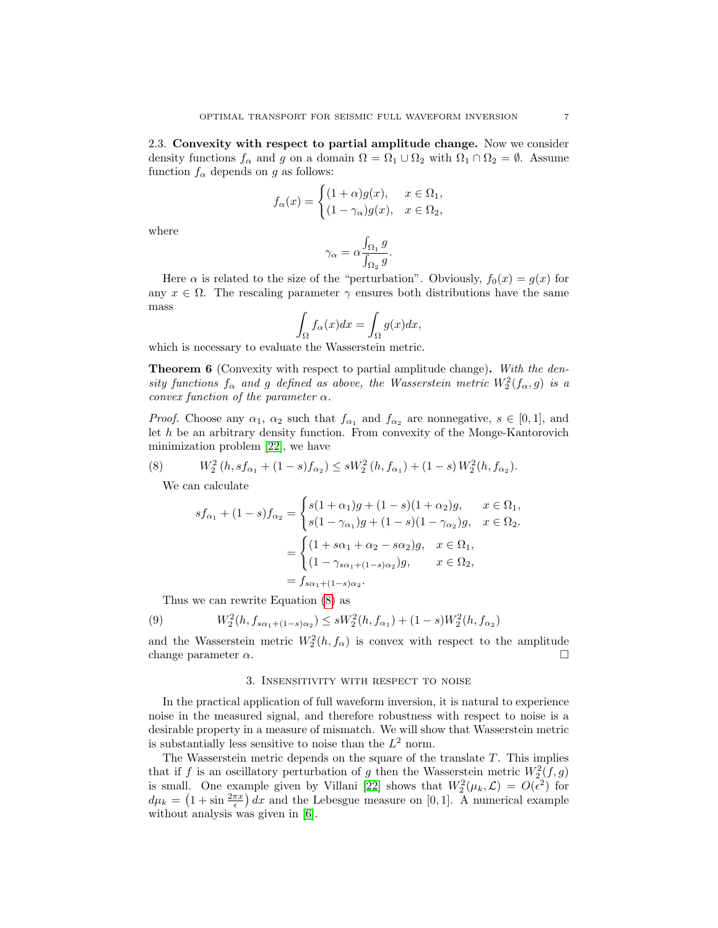2.3. Convexity with respect to partial amplitude change. Now we consider density functions  $f_{\alpha}$  and g on a domain  $\Omega = \Omega_1 \cup \Omega_2$  with  $\Omega_1 \cap \Omega_2 = \emptyset$ . Assume function  $f_{\alpha}$  depends on g as follows:

$$
f_{\alpha}(x) = \begin{cases} (1+\alpha)g(x), & x \in \Omega_1, \\ (1-\gamma_{\alpha})g(x), & x \in \Omega_2, \end{cases}
$$

where

$$
\gamma_{\alpha} = \alpha \frac{\int_{\Omega_1} g}{\int_{\Omega_2} g}.
$$

Here  $\alpha$  is related to the size of the "perturbation". Obviously,  $f_0(x) = g(x)$  for any  $x \in \Omega$ . The rescaling parameter  $\gamma$  ensures both distributions have the same mass

<span id="page-6-1"></span>
$$
\int_{\Omega} f_{\alpha}(x)dx = \int_{\Omega} g(x)dx,
$$

which is necessary to evaluate the Wasserstein metric.

Theorem 6 (Convexity with respect to partial amplitude change). With the density functions  $f_{\alpha}$  and g defined as above, the Wasserstein metric  $W_2^2(f_{\alpha}, g)$  is a convex function of the parameter  $\alpha$ .

*Proof.* Choose any  $\alpha_1$ ,  $\alpha_2$  such that  $f_{\alpha_1}$  and  $f_{\alpha_2}$  are nonnegative,  $s \in [0,1]$ , and let h be an arbitrary density function. From convexity of the Monge-Kantorovich minimization problem [\[22\]](#page-24-1), we have

(8) 
$$
W_2^2(h, sf_{\alpha_1} + (1-s)f_{\alpha_2}) \le sW_2^2(h, f_{\alpha_1}) + (1-s)W_2^2(h, f_{\alpha_2}).
$$

We can calculate

$$
sf_{\alpha_1} + (1 - s)f_{\alpha_2} = \begin{cases} s(1 + \alpha_1)g + (1 - s)(1 + \alpha_2)g, & x \in \Omega_1, \\ s(1 - \gamma_{\alpha_1})g + (1 - s)(1 - \gamma_{\alpha_2})g, & x \in \Omega_2. \end{cases}
$$

$$
= \begin{cases} (1 + s\alpha_1 + \alpha_2 - s\alpha_2)g, & x \in \Omega_1, \\ (1 - \gamma_{s\alpha_1 + (1 - s)\alpha_2})g, & x \in \Omega_2, \\ s_{\alpha_1 + (1 - s)\alpha_2} & x \in \Omega_2. \end{cases}
$$

Thus we can rewrite Equation [\(8\)](#page-6-1) as

(9) 
$$
W_2^2(h, f_{s\alpha_1 + (1-s)\alpha_2}) \le sW_2^2(h, f_{\alpha_1}) + (1-s)W_2^2(h, f_{\alpha_2})
$$

and the Wasserstein metric  $W_2^2(h, f_\alpha)$  is convex with respect to the amplitude change parameter  $\alpha$ .

#### 3. Insensitivity with respect to noise

<span id="page-6-0"></span>In the practical application of full waveform inversion, it is natural to experience noise in the measured signal, and therefore robustness with respect to noise is a desirable property in a measure of mismatch. We will show that Wasserstein metric is substantially less sensitive to noise than the  $L^2$  norm.

The Wasserstein metric depends on the square of the translate T. This implies that if f is an oscillatory perturbation of g then the Wasserstein metric  $W_2^2(f,g)$ is small. One example given by Villani [\[22\]](#page-24-1) shows that  $W_2^2(\mu_k, \mathcal{L}) = O(\epsilon^2)$  for  $d\mu_k = (1 + \sin \frac{2\pi x}{\epsilon}) dx$  and the Lebesgue measure on [0, 1]. A numerical example without analysis was given in [\[6\]](#page-23-8).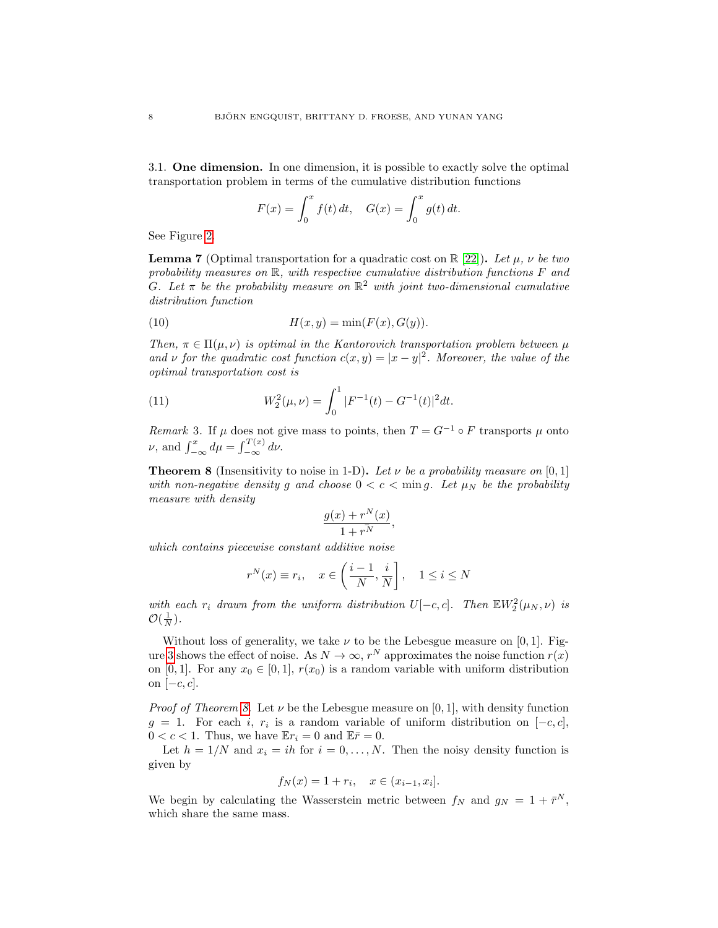3.1. One dimension. In one dimension, it is possible to exactly solve the optimal transportation problem in terms of the cumulative distribution functions

$$
F(x) = \int_0^x f(t) dt, \quad G(x) = \int_0^x g(t) dt.
$$

See Figure [2.](#page-8-0)

<span id="page-7-1"></span>**Lemma 7** (Optimal transportation for a quadratic cost on  $\mathbb{R}$  [\[22\]](#page-24-1)). Let  $\mu$ ,  $\nu$  be two probability measures on  $\mathbb R$ , with respective cumulative distribution functions  $F$  and G. Let  $\pi$  be the probability measure on  $\mathbb{R}^2$  with joint two-dimensional cumulative distribution function

(10) 
$$
H(x,y) = \min(F(x), G(y)).
$$

Then,  $\pi \in \Pi(\mu, \nu)$  is optimal in the Kantorovich transportation problem between  $\mu$ and v for the quadratic cost function  $c(x, y) = |x - y|^2$ . Moreover, the value of the optimal transportation cost is

(11) 
$$
W_2^2(\mu,\nu) = \int_0^1 |F^{-1}(t) - G^{-1}(t)|^2 dt.
$$

Remark 3. If  $\mu$  does not give mass to points, then  $T = G^{-1} \circ F$  transports  $\mu$  onto  $\nu$ , and  $\int_{-\infty}^{x} d\mu = \int_{-\infty}^{T(x)} d\nu$ .

<span id="page-7-0"></span>**Theorem 8** (Insensitivity to noise in 1-D). Let  $\nu$  be a probability measure on [0, 1] with non-negative density g and choose  $0 < c < \min g$ . Let  $\mu_N$  be the probability measure with density

$$
\frac{g(x) + r^N(x)}{1 + r^N},
$$

which contains piecewise constant additive noise

$$
r^{N}(x) \equiv r_{i}, \quad x \in \left(\frac{i-1}{N}, \frac{i}{N}\right], \quad 1 \leq i \leq N
$$

with each  $r_i$  drawn from the uniform distribution  $U[-c, c]$ . Then  $\mathbb{E}W_2^2(\mu_N, \nu)$  is  $\mathcal{O}(\frac{1}{N}).$ 

Without loss of generality, we take  $\nu$  to be the Lebesgue measure on [0, 1]. Fig-ure [3](#page-8-1) shows the effect of noise. As  $N \to \infty$ ,  $r^N$  approximates the noise function  $r(x)$ on [0, 1]. For any  $x_0 \in [0, 1]$ ,  $r(x_0)$  is a random variable with uniform distribution on  $[-c, c]$ .

*Proof of Theorem [8.](#page-7-0)* Let  $\nu$  be the Lebesgue measure on [0, 1], with density function  $g = 1$ . For each i,  $r_i$  is a random variable of uniform distribution on  $[-c, c]$ ,  $0 < c < 1$ . Thus, we have  $\mathbb{E}r_i = 0$  and  $\mathbb{E}\bar{r} = 0$ .

Let  $h = 1/N$  and  $x_i = ih$  for  $i = 0, ..., N$ . Then the noisy density function is given by

$$
f_N(x) = 1 + r_i, \quad x \in (x_{i-1}, x_i].
$$

We begin by calculating the Wasserstein metric between  $f_N$  and  $g_N = 1 + \bar{r}^N$ , which share the same mass.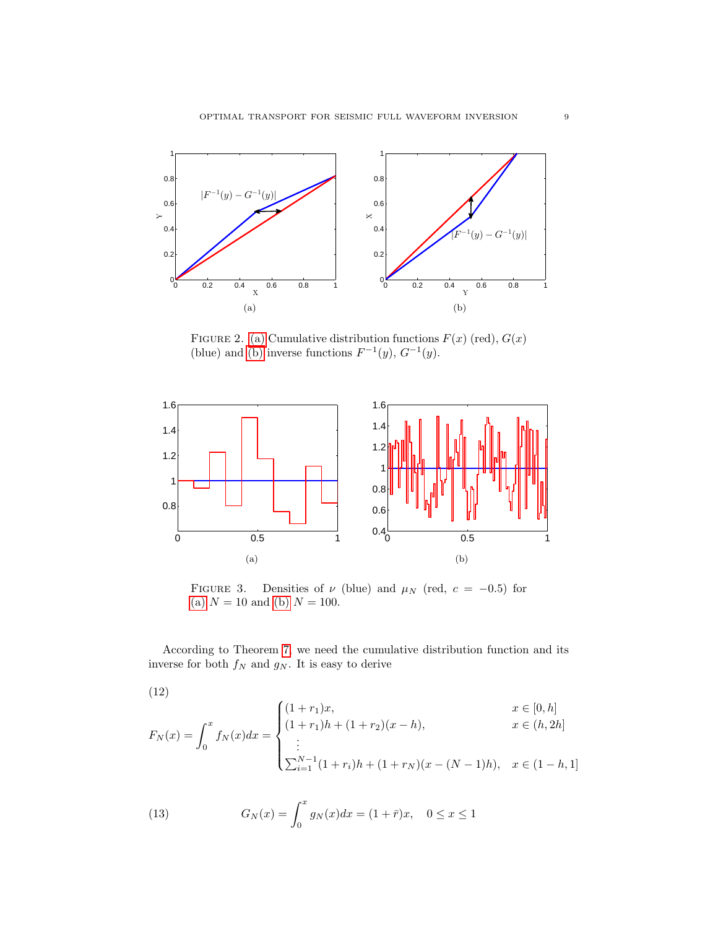<span id="page-8-2"></span>

<span id="page-8-3"></span><span id="page-8-0"></span>FIGURE 2. [\(a\)](#page-8-2) Cumulative distribution functions  $F(x)$  (red),  $G(x)$ (blue) and [\(b\)](#page-8-3) inverse functions  $F^{-1}(y)$ ,  $G^{-1}(y)$ .

<span id="page-8-4"></span>

<span id="page-8-5"></span><span id="page-8-1"></span>FIGURE 3. Densities of  $\nu$  (blue) and  $\mu$ <sub>N</sub> (red,  $c = -0.5$ ) for [\(a\)](#page-8-4)  $N = 10$  and [\(b\)](#page-8-5)  $N = 100$ .

According to Theorem [7,](#page-7-1) we need the cumulative distribution function and its inverse for both  $f_N$  and  $g_N$ . It is easy to derive

(12)

$$
F_N(x) = \int_0^x f_N(x) dx = \begin{cases} (1+r_1)x, & x \in [0,h] \\ (1+r_1)h + (1+r_2)(x-h), & x \in (h,2h] \\ \vdots \\ \sum_{i=1}^{N-1} (1+r_i)h + (1+r_N)(x-(N-1)h), & x \in (1-h,1] \end{cases}
$$

(13) 
$$
G_N(x) = \int_0^x g_N(x) dx = (1 + \bar{r})x, \quad 0 \le x \le 1
$$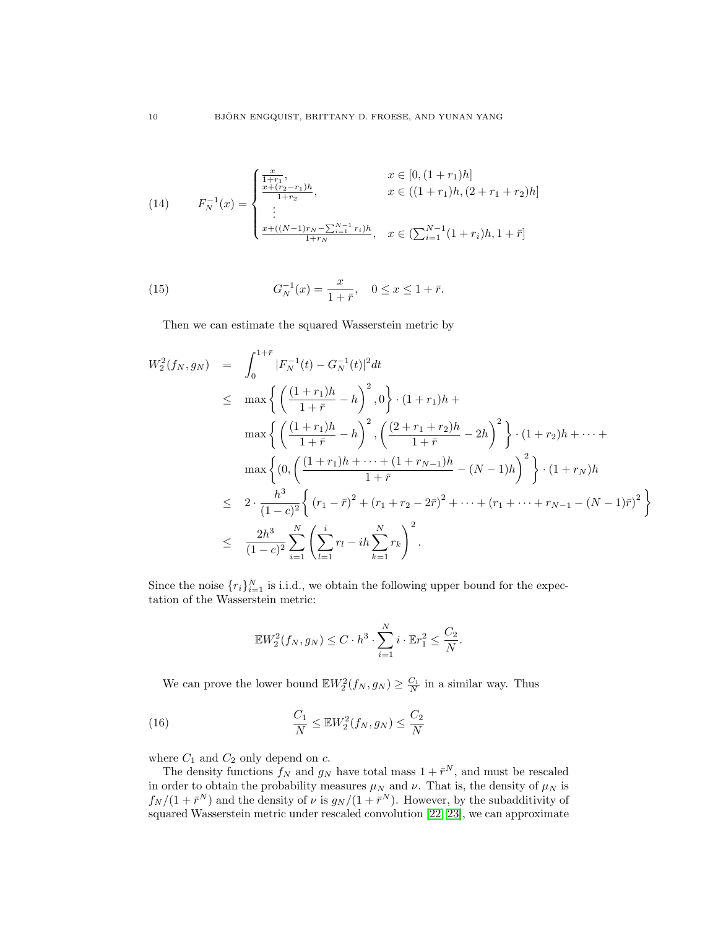(14) 
$$
F_N^{-1}(x) = \begin{cases} \frac{x}{1+r_1}, & x \in [0, (1+r_1)h] \\ \frac{x+(r_2-r_1)h}{1+r_2}, & x \in ((1+r_1)h, (2+r_1+r_2)h] \\ \vdots \\ \frac{x+((N-1)r_N - \sum_{i=1}^{N-1} r_i)h}{1+r_N}, & x \in (\sum_{i=1}^{N-1} (1+r_i)h, 1+\bar{r}] \end{cases}
$$

(15) 
$$
G_N^{-1}(x) = \frac{x}{1 + \bar{r}}, \quad 0 \le x \le 1 + \bar{r}.
$$

Then we can estimate the squared Wasserstein metric by

$$
W_2^2(f_N, g_N) = \int_0^{1+\bar{r}} |F_N^{-1}(t) - G_N^{-1}(t)|^2 dt
$$
  
\n
$$
\leq \max \left\{ \left( \frac{(1+r_1)h}{1+\bar{r}} - h \right)^2, 0 \right\} \cdot (1+r_1)h +
$$
  
\n
$$
\max \left\{ \left( \frac{(1+r_1)h}{1+\bar{r}} - h \right)^2, \left( \frac{(2+r_1+r_2)h}{1+\bar{r}} - 2h \right)^2 \right\} \cdot (1+r_2)h + \dots +
$$
  
\n
$$
\max \left\{ (0, \left( \frac{(1+r_1)h + \dots + (1+r_{N-1})h}{1+\bar{r}} - (N-1)h \right)^2 \right\} \cdot (1+r_N)h
$$
  
\n
$$
\leq 2 \cdot \frac{h^3}{(1-c)^2} \left\{ (r_1 - \bar{r})^2 + (r_1 + r_2 - 2\bar{r})^2 + \dots + (r_1 + \dots + r_{N-1} - (N-1)\bar{r})^2 \right\}
$$
  
\n
$$
\leq \frac{2h^3}{(1-c)^2} \sum_{i=1}^N \left( \sum_{l=1}^i r_l - ih \sum_{k=1}^N r_k \right)^2.
$$

Since the noise  $\{r_i\}_{i=1}^N$  is i.i.d., we obtain the following upper bound for the expectation of the Wasserstein metric:

$$
\mathbb{E}W_2^2(f_N, g_N) \le C \cdot h^3 \cdot \sum_{i=1}^N i \cdot \mathbb{E}r_1^2 \le \frac{C_2}{N}.
$$

We can prove the lower bound  $\mathbb{E}W_2^2(f_N, g_N) \geq \frac{C_1}{N}$  in a similar way. Thus

(16) 
$$
\frac{C_1}{N} \leq \mathbb{E} W_2^2(f_N, g_N) \leq \frac{C_2}{N}
$$

where  $C_1$  and  $C_2$  only depend on  $c$ .

The density functions  $f_N$  and  $g_N$  have total mass  $1 + \bar{r}^N$ , and must be rescaled in order to obtain the probability measures  $\mu_N$  and  $\nu$ . That is, the density of  $\mu_N$  is  $f_N/(1+\bar{r}^N)$  and the density of  $\nu$  is  $g_N/(1+\bar{r}^N)$ . However, by the subadditivity of squared Wasserstein metric under rescaled convolution [\[22,](#page-24-1) [23\]](#page-24-2), we can approximate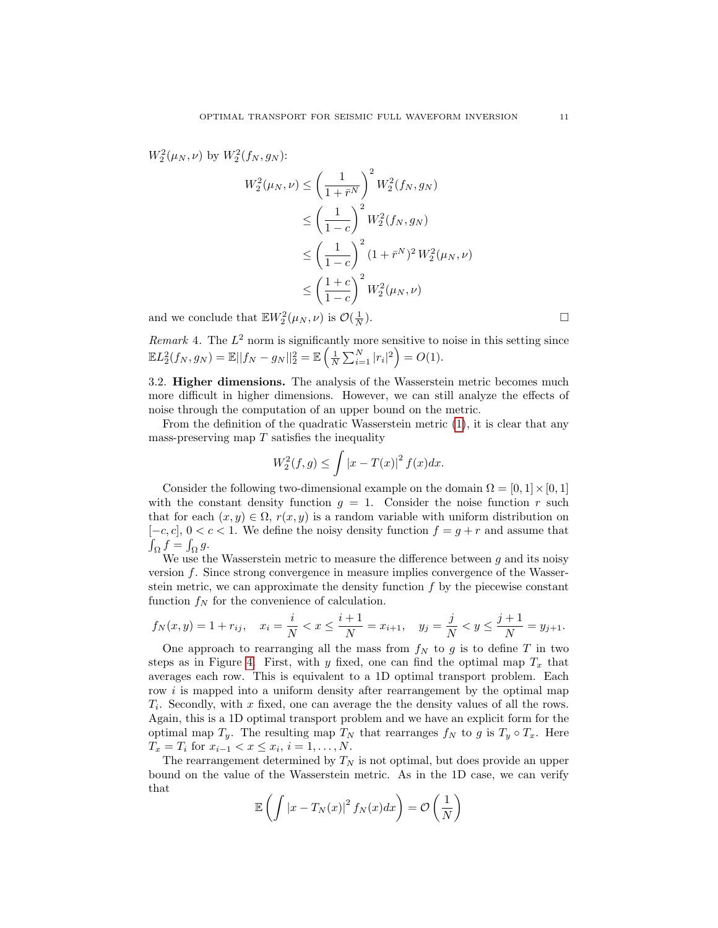$W_2^2(\mu_N, \nu)$  by  $W_2^2(f_N, g_N)$ :

$$
W_2^2(\mu_N, \nu) \le \left(\frac{1}{1+\bar{r}^N}\right)^2 W_2^2(f_N, g_N)
$$
  
\n
$$
\le \left(\frac{1}{1-c}\right)^2 W_2^2(f_N, g_N)
$$
  
\n
$$
\le \left(\frac{1}{1-c}\right)^2 (1+\bar{r}^N)^2 W_2^2(\mu_N, \nu)
$$
  
\n
$$
\le \left(\frac{1+c}{1-c}\right)^2 W_2^2(\mu_N, \nu)
$$

and we conclude that  $\mathbb{E} W_2^2(\mu_N, \nu)$  is  $\mathcal{O}(\frac{1}{N})$ 

*Remark* 4. The  $L^2$  norm is significantly more sensitive to noise in this setting since  $\mathbb{E} L_2^2(f_N, g_N) = \mathbb{E} ||f_N - g_N||_2^2 = \mathbb{E} \left( \frac{1}{N} \sum_{i=1}^N |r_i|^2 \right) = O(1).$ 

3.2. Higher dimensions. The analysis of the Wasserstein metric becomes much more difficult in higher dimensions. However, we can still analyze the effects of noise through the computation of an upper bound on the metric.

From the definition of the quadratic Wasserstein metric [\(1\)](#page-1-1), it is clear that any mass-preserving map  $T$  satisfies the inequality

$$
W_2^2(f,g) \le \int |x - T(x)|^2 f(x) dx.
$$

Consider the following two-dimensional example on the domain  $\Omega = [0, 1] \times [0, 1]$ with the constant density function  $g = 1$ . Consider the noise function r such that for each  $(x, y) \in \Omega$ ,  $r(x, y)$  is a random variable with uniform distribution on  $[-c, c], 0 < c < 1.$  We define the noisy density function  $f = g + r$  and assume that  $\int_{\Omega} f = \int_{\Omega} g.$ 

We use the Wasserstein metric to measure the difference between  $g$  and its noisy version f. Since strong convergence in measure implies convergence of the Wasserstein metric, we can approximate the density function  $f$  by the piecewise constant function  $f_N$  for the convenience of calculation.

$$
f_N(x, y) = 1 + r_{ij}
$$
,  $x_i = \frac{i}{N} < x \le \frac{i+1}{N} = x_{i+1}$ ,  $y_j = \frac{j}{N} < y \le \frac{j+1}{N} = y_{j+1}$ .

One approach to rearranging all the mass from  $f_N$  to g is to define T in two steps as in Figure [4.](#page-11-1) First, with y fixed, one can find the optimal map  $T_x$  that averages each row. This is equivalent to a 1D optimal transport problem. Each row  $i$  is mapped into a uniform density after rearrangement by the optimal map  $T_i$ . Secondly, with x fixed, one can average the the density values of all the rows. Again, this is a 1D optimal transport problem and we have an explicit form for the optimal map  $T_y$ . The resulting map  $T_N$  that rearranges  $f_N$  to g is  $T_y \circ T_x$ . Here  $T_x = T_i$  for  $x_{i-1} < x \leq x_i$ ,  $i = 1, ..., N$ .

The rearrangement determined by  $T_N$  is not optimal, but does provide an upper bound on the value of the Wasserstein metric. As in the 1D case, we can verify that

$$
\mathbb{E}\left(\int |x - T_N(x)|^2 f_N(x) dx\right) = \mathcal{O}\left(\frac{1}{N}\right)
$$

 $\Box$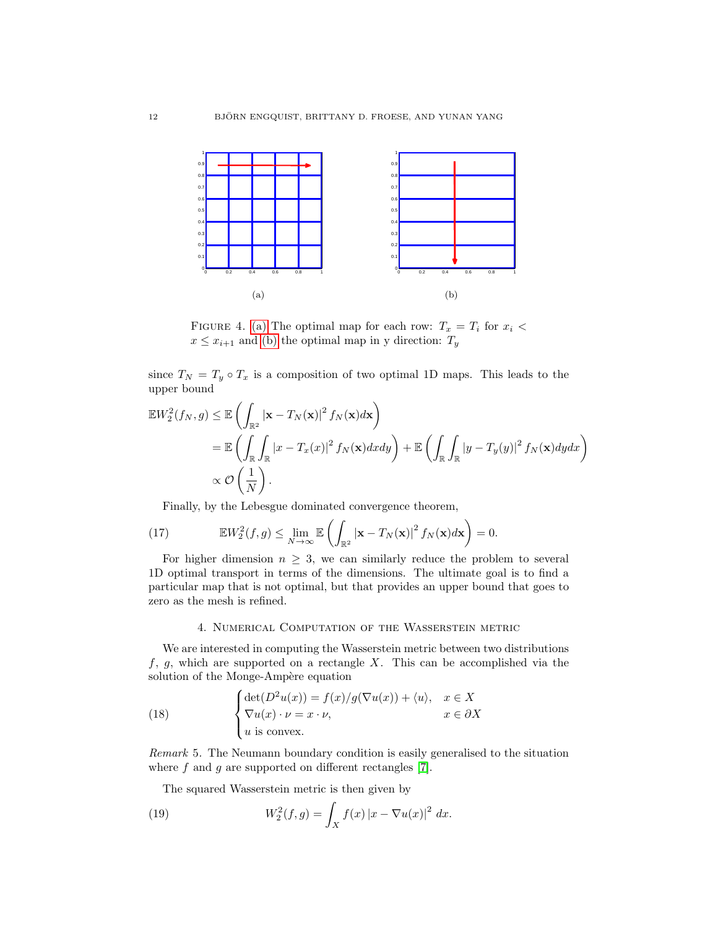<span id="page-11-2"></span>

<span id="page-11-1"></span>FIGURE 4. [\(a\)](#page-11-2) The optimal map for each row:  $T_x = T_i$  for  $x_i$  $x \leq x_{i+1}$  and [\(b\)](#page-8-3) the optimal map in y direction:  $T_y$ 

since  $T_N = T_y \circ T_x$  is a composition of two optimal 1D maps. This leads to the upper bound

$$
\mathbb{E}W_2^2(f_N, g) \le \mathbb{E}\left(\int_{\mathbb{R}^2} |\mathbf{x} - T_N(\mathbf{x})|^2 f_N(\mathbf{x}) d\mathbf{x}\right)
$$
  
=  $\mathbb{E}\left(\int_{\mathbb{R}} \int_{\mathbb{R}} |x - T_x(x)|^2 f_N(\mathbf{x}) dxdy\right) + \mathbb{E}\left(\int_{\mathbb{R}} \int_{\mathbb{R}} |y - T_y(y)|^2 f_N(\mathbf{x}) d\mathbf{x}\right)$   
 $\propto \mathcal{O}\left(\frac{1}{N}\right).$ 

Finally, by the Lebesgue dominated convergence theorem,

(17) 
$$
\mathbb{E}W_2^2(f,g) \leq \lim_{N \to \infty} \mathbb{E} \left( \int_{\mathbb{R}^2} |\mathbf{x} - T_N(\mathbf{x})|^2 f_N(\mathbf{x}) d\mathbf{x} \right) = 0.
$$

For higher dimension  $n \geq 3$ , we can similarly reduce the problem to several 1D optimal transport in terms of the dimensions. The ultimate goal is to find a particular map that is not optimal, but that provides an upper bound that goes to zero as the mesh is refined.

### 4. Numerical Computation of the Wasserstein metric

<span id="page-11-0"></span>We are interested in computing the Wasserstein metric between two distributions  $f, g$ , which are supported on a rectangle X. This can be accomplished via the solution of the Monge-Ampère equation

(18) 
$$
\begin{cases} \det(D^2u(x)) = f(x)/g(\nabla u(x)) + \langle u \rangle, & x \in X \\ \nabla u(x) \cdot \nu = x \cdot \nu, & x \in \partial X \\ u \text{ is convex.} \end{cases}
$$

Remark 5. The Neumann boundary condition is easily generalised to the situation where  $f$  and  $g$  are supported on different rectangles [\[7\]](#page-23-17).

The squared Wasserstein metric is then given by

(19) 
$$
W_2^2(f,g) = \int_X f(x) |x - \nabla u(x)|^2 dx.
$$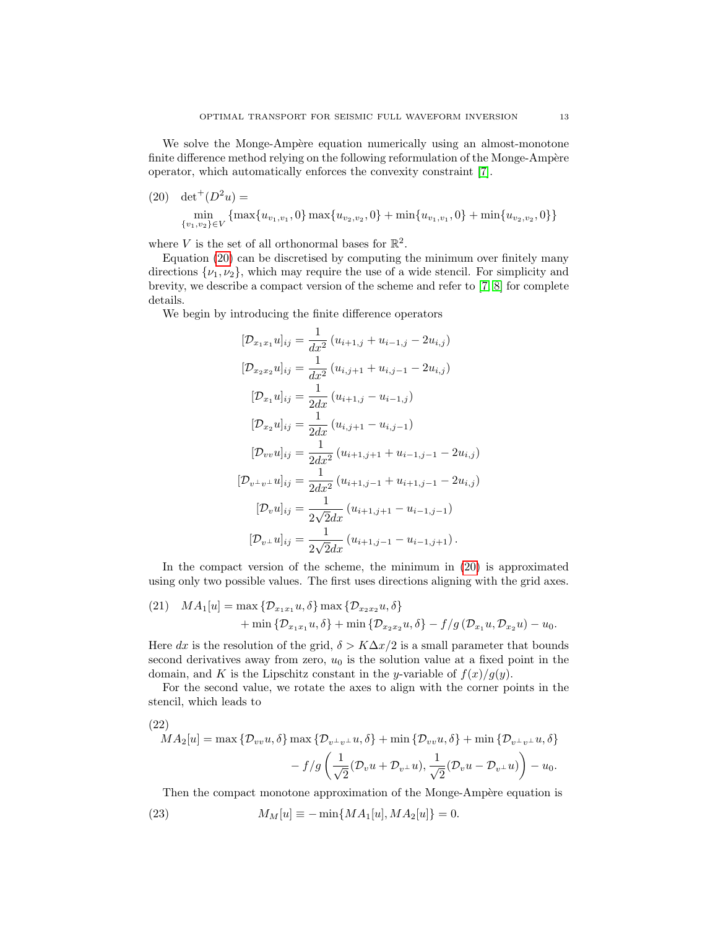We solve the Monge-Ampère equation numerically using an almost-monotone finite difference method relying on the following reformulation of the Monge-Ampère operator, which automatically enforces the convexity constraint [\[7\]](#page-23-17).

<span id="page-12-0"></span> $(20)$  det<sup>+</sup> $(D<sup>2</sup>u)$  = min  $\min_{\{v_1, v_2\} \in V} \{\max\{u_{v_1, v_1}, 0\} \max\{u_{v_2, v_2}, 0\} + \min\{u_{v_1, v_1}, 0\} + \min\{u_{v_2, v_2}, 0\}\}\n$ 

where V is the set of all orthonormal bases for  $\mathbb{R}^2$ .

Equation [\(20\)](#page-12-0) can be discretised by computing the minimum over finitely many directions  $\{\nu_1, \nu_2\}$ , which may require the use of a wide stencil. For simplicity and brevity, we describe a compact version of the scheme and refer to [\[7,](#page-23-17) [8\]](#page-23-18) for complete details.

We begin by introducing the finite difference operators

$$
[\mathcal{D}_{x_1x_1} u]_{ij} = \frac{1}{dx^2} (u_{i+1,j} + u_{i-1,j} - 2u_{i,j})
$$
  
\n
$$
[\mathcal{D}_{x_2x_2} u]_{ij} = \frac{1}{dx^2} (u_{i,j+1} + u_{i,j-1} - 2u_{i,j})
$$
  
\n
$$
[\mathcal{D}_{x_1} u]_{ij} = \frac{1}{2dx} (u_{i+1,j} - u_{i-1,j})
$$
  
\n
$$
[\mathcal{D}_{x_2} u]_{ij} = \frac{1}{2dx^2} (u_{i,j+1} - u_{i,j-1})
$$
  
\n
$$
[\mathcal{D}_{vv} u]_{ij} = \frac{1}{2dx^2} (u_{i+1,j+1} + u_{i-1,j-1} - 2u_{i,j})
$$
  
\n
$$
[\mathcal{D}_{v+1} u]_{ij} = \frac{1}{2dx^2} (u_{i+1,j-1} + u_{i+1,j-1} - 2u_{i,j})
$$
  
\n
$$
[\mathcal{D}_{v} u]_{ij} = \frac{1}{2\sqrt{2}dx} (u_{i+1,j+1} - u_{i-1,j-1})
$$
  
\n
$$
[\mathcal{D}_{v+1} u]_{ij} = \frac{1}{2\sqrt{2}dx} (u_{i+1,j-1} - u_{i-1,j+1}).
$$

In the compact version of the scheme, the minimum in [\(20\)](#page-12-0) is approximated using only two possible values. The first uses directions aligning with the grid axes.

(21) 
$$
MA_1[u] = \max \{ \mathcal{D}_{x_1x_1}u, \delta \} \max \{ \mathcal{D}_{x_2x_2}u, \delta \}
$$
  
  $+ \min \{ \mathcal{D}_{x_1x_1}u, \delta \} + \min \{ \mathcal{D}_{x_2x_2}u, \delta \} - f/g(\mathcal{D}_{x_1}u, \mathcal{D}_{x_2}u) - u_0.$ 

Here dx is the resolution of the grid,  $\delta > K\Delta x/2$  is a small parameter that bounds second derivatives away from zero,  $u_0$  is the solution value at a fixed point in the domain, and K is the Lipschitz constant in the y-variable of  $f(x)/q(y)$ .

For the second value, we rotate the axes to align with the corner points in the stencil, which leads to

(22)  
\n
$$
MA_2[u] = \max \{ \mathcal{D}_{vv}u, \delta \} \max \{ \mathcal{D}_{v^{\perp}v^{\perp}}u, \delta \} + \min \{ \mathcal{D}_{vv}u, \delta \} + \min \{ \mathcal{D}_{v^{\perp}v^{\perp}}u, \delta \} - f/g \left( \frac{1}{\sqrt{2}} (\mathcal{D}_v u + \mathcal{D}_{v^{\perp}}u), \frac{1}{\sqrt{2}} (\mathcal{D}_v u - \mathcal{D}_{v^{\perp}}u) \right) - u_0.
$$

Then the compact monotone approximation of the Monge-Ampère equation is (23)  $M_M[u] \equiv -\min\{MA_1[u], MA_2[u]\} = 0.$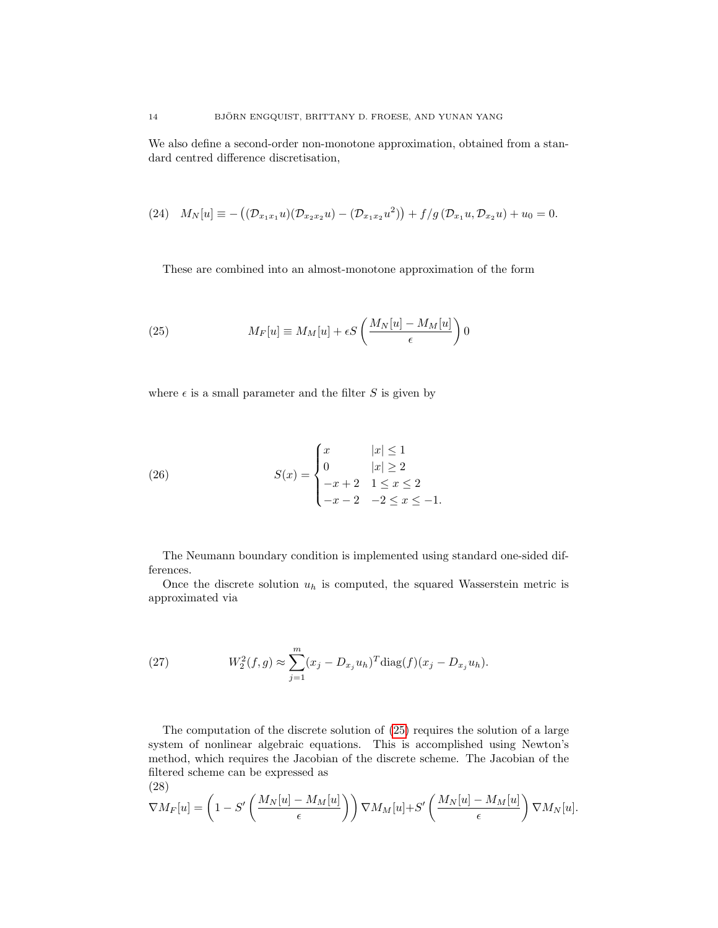We also define a second-order non-monotone approximation, obtained from a standard centred difference discretisation,

(24) 
$$
M_N[u] \equiv -((\mathcal{D}_{x_1x_1}u)(\mathcal{D}_{x_2x_2}u) - (\mathcal{D}_{x_1x_2}u^2)) + f/g(\mathcal{D}_{x_1}u, \mathcal{D}_{x_2}u) + u_0 = 0.
$$

<span id="page-13-0"></span>These are combined into an almost-monotone approximation of the form

(25) 
$$
M_F[u] \equiv M_M[u] + \epsilon S \left( \frac{M_N[u] - M_M[u]}{\epsilon} \right) 0
$$

where  $\epsilon$  is a small parameter and the filter S is given by

(26) 
$$
S(x) = \begin{cases} x & |x| \le 1 \\ 0 & |x| \ge 2 \\ -x + 2 & 1 \le x \le 2 \\ -x - 2 & -2 \le x \le -1. \end{cases}
$$

The Neumann boundary condition is implemented using standard one-sided differences.

Once the discrete solution  $u_h$  is computed, the squared Wasserstein metric is approximated via

(27) 
$$
W_2^2(f,g) \approx \sum_{j=1}^m (x_j - D_{x_j} u_h)^T \text{diag}(f)(x_j - D_{x_j} u_h).
$$

<span id="page-13-1"></span>The computation of the discrete solution of [\(25\)](#page-13-0) requires the solution of a large system of nonlinear algebraic equations. This is accomplished using Newton's method, which requires the Jacobian of the discrete scheme. The Jacobian of the filtered scheme can be expressed as

(28)  
\n
$$
\nabla M_F[u] = \left(1 - S'\left(\frac{M_N[u] - M_M[u]}{\epsilon}\right)\right) \nabla M_M[u] + S'\left(\frac{M_N[u] - M_M[u]}{\epsilon}\right) \nabla M_N[u].
$$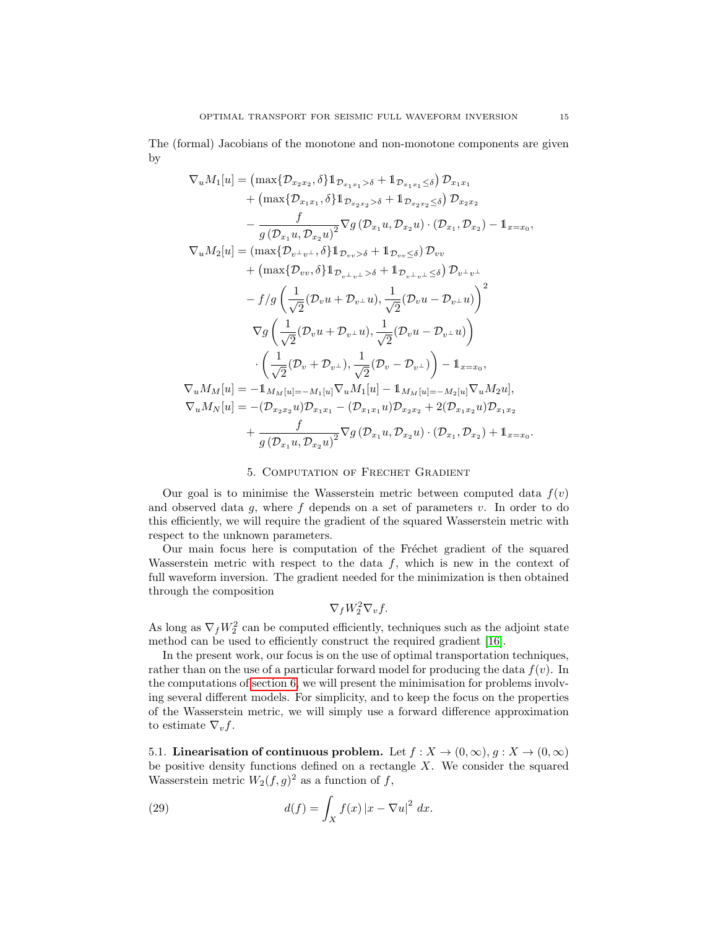The (formal) Jacobians of the monotone and non-monotone components are given by

$$
\nabla_{u}M_{1}[u] = (\max\{\mathcal{D}_{x_{2}x_{2}}, \delta\}1_{\mathcal{D}_{x_{1}x_{1}}>\delta} + 1_{\mathcal{D}_{x_{1}x_{1}}\leq \delta})\mathcal{D}_{x_{1}x_{1}} \n+ (\max\{\mathcal{D}_{x_{1}x_{1}}, \delta\}1_{\mathcal{D}_{x_{2}x_{2}}>\delta} + 1_{\mathcal{D}_{x_{2}x_{2}}\leq \delta})\mathcal{D}_{x_{2}x_{2}} \n- \frac{f}{g(\mathcal{D}_{x_{1}}u, \mathcal{D}_{x_{2}}u)^{2}}\nabla g(\mathcal{D}_{x_{1}}u, \mathcal{D}_{x_{2}}u) \cdot (\mathcal{D}_{x_{1}}, \mathcal{D}_{x_{2}}) - 1_{x=x_{0}}, \n\nabla_{u}M_{2}[u] = (\max\{\mathcal{D}_{v+v}, \delta\}1_{\mathcal{D}_{v+v}>\delta} + 1_{\mathcal{D}_{v+v}\leq \delta})\mathcal{D}_{vv} \n+ (\max\{\mathcal{D}_{vv}, \delta\}1_{\mathcal{D}_{v+v}>\delta} + 1_{\mathcal{D}_{v+v}\leq \delta})\mathcal{D}_{v+v} \n- f/g\left(\frac{1}{\sqrt{2}}(\mathcal{D}_{v}u + \mathcal{D}_{v+}u), \frac{1}{\sqrt{2}}(\mathcal{D}_{v}u - \mathcal{D}_{v+}u)\right)^{2} \n\nabla g\left(\frac{1}{\sqrt{2}}(\mathcal{D}_{v}u + \mathcal{D}_{v+}u), \frac{1}{\sqrt{2}}(\mathcal{D}_{v}u - \mathcal{D}_{v+}u)\right) \n\cdot \left(\frac{1}{\sqrt{2}}(\mathcal{D}_{v}u + \mathcal{D}_{v+}), \frac{1}{\sqrt{2}}(\mathcal{D}_{v}u - \mathcal{D}_{v+}u)\right) - 1_{x=x_{0}}, \n\nabla_{u}M_{M}[u] = -1_{M_{M}[u] = -M_{1}[u]}\nabla_{u}M_{1}[u] - 1_{M_{M}[u] = -M_{2}[u]}\nabla_{u}M_{2}u], \n\nabla_{u}M_{N}[u] = -(\mathcal{D}_{x_{2}x_{2}}u)\mathcal{D}_{x_{1}x_{
$$

## 5. Computation of Frechet Gradient

<span id="page-14-0"></span>Our goal is to minimise the Wasserstein metric between computed data  $f(v)$ and observed data  $g$ , where  $f$  depends on a set of parameters  $v$ . In order to do this efficiently, we will require the gradient of the squared Wasserstein metric with respect to the unknown parameters.

Our main focus here is computation of the Fréchet gradient of the squared Wasserstein metric with respect to the data  $f$ , which is new in the context of full waveform inversion. The gradient needed for the minimization is then obtained through the composition

$$
\nabla_f W_2^2 \nabla_v f.
$$

As long as  $\nabla_f W_2^2$  can be computed efficiently, techniques such as the adjoint state method can be used to efficiently construct the required gradient [\[16\]](#page-23-19).

In the present work, our focus is on the use of optimal transportation techniques, rather than on the use of a particular forward model for producing the data  $f(v)$ . In the computations of [section 6,](#page-16-0) we will present the minimisation for problems involving several different models. For simplicity, and to keep the focus on the properties of the Wasserstein metric, we will simply use a forward difference approximation to estimate  $\nabla_v f$ .

5.1. Linearisation of continuous problem. Let  $f: X \to (0,\infty), g: X \to (0,\infty)$ be positive density functions defined on a rectangle  $X$ . We consider the squared Wasserstein metric  $W_2(f,g)^2$  as a function of f,

(29) 
$$
d(f) = \int_X f(x) |x - \nabla u|^2 dx.
$$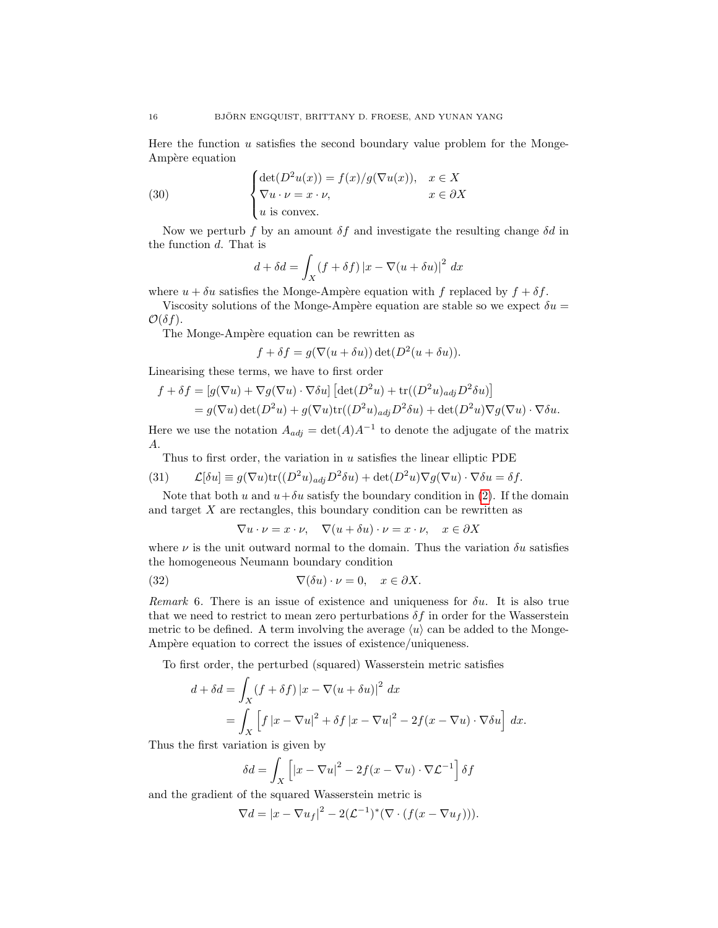Here the function  $u$  satisfies the second boundary value problem for the Monge-Ampère equation

(30) 
$$
\begin{cases} \det(D^2u(x)) = f(x)/g(\nabla u(x)), & x \in X \\ \nabla u \cdot \nu = x \cdot \nu, & x \in \partial X \\ u \text{ is convex.} \end{cases}
$$

Now we perturb f by an amount  $\delta f$  and investigate the resulting change  $\delta d$  in the function d. That is

$$
d + \delta d = \int_X (f + \delta f) |x - \nabla (u + \delta u)|^2 dx
$$

where  $u + \delta u$  satisfies the Monge-Ampère equation with f replaced by  $f + \delta f$ .

Viscosity solutions of the Monge-Ampère equation are stable so we expect  $\delta u =$  $\mathcal{O}(\delta f)$ .

The Monge-Ampère equation can be rewritten as

 $f + \delta f = g(\nabla(u + \delta u)) \det(D^2(u + \delta u)).$ 

Linearising these terms, we have to first order

$$
f + \delta f = [g(\nabla u) + \nabla g(\nabla u) \cdot \nabla \delta u] \left[ \det(D^2 u) + \text{tr}((D^2 u)_{adj} D^2 \delta u) \right]
$$
  
=  $g(\nabla u) \det(D^2 u) + g(\nabla u) \text{tr}((D^2 u)_{adj} D^2 \delta u) + \det(D^2 u) \nabla g(\nabla u) \cdot \nabla \delta u.$ 

Here we use the notation  $A_{adj} = det(A)A^{-1}$  to denote the adjugate of the matrix A.

Thus to first order, the variation in  $u$  satisfies the linear elliptic PDE

(31) 
$$
\mathcal{L}[\delta u] \equiv g(\nabla u) \text{tr}((D^2 u)_{adj} D^2 \delta u) + \det(D^2 u) \nabla g(\nabla u) \cdot \nabla \delta u = \delta f.
$$

Note that both u and  $u + \delta u$  satisfy the boundary condition in [\(2\)](#page-1-0). If the domain and target X are rectangles, this boundary condition can be rewritten as

$$
\nabla u \cdot \nu = x \cdot \nu, \quad \nabla (u + \delta u) \cdot \nu = x \cdot \nu, \quad x \in \partial X
$$

where  $\nu$  is the unit outward normal to the domain. Thus the variation  $\delta u$  satisfies the homogeneous Neumann boundary condition

(32) 
$$
\nabla(\delta u) \cdot \nu = 0, \quad x \in \partial X.
$$

Remark 6. There is an issue of existence and uniqueness for  $\delta u$ . It is also true that we need to restrict to mean zero perturbations  $\delta f$  in order for the Wasserstein metric to be defined. A term involving the average  $\langle u \rangle$  can be added to the Monge-Ampère equation to correct the issues of existence/uniqueness.

To first order, the perturbed (squared) Wasserstein metric satisfies

$$
d + \delta d = \int_X (f + \delta f) |x - \nabla (u + \delta u)|^2 dx
$$
  
= 
$$
\int_X [f |x - \nabla u|^2 + \delta f |x - \nabla u|^2 - 2f(x - \nabla u) \cdot \nabla \delta u] dx.
$$

Thus the first variation is given by

$$
\delta d = \int_X \left[ |x - \nabla u|^2 - 2f(x - \nabla u) \cdot \nabla \mathcal{L}^{-1} \right] \delta f
$$

and the gradient of the squared Wasserstein metric is

$$
\nabla d = |x - \nabla u_f|^2 - 2(\mathcal{L}^{-1})^*(\nabla \cdot (f(x - \nabla u_f))).
$$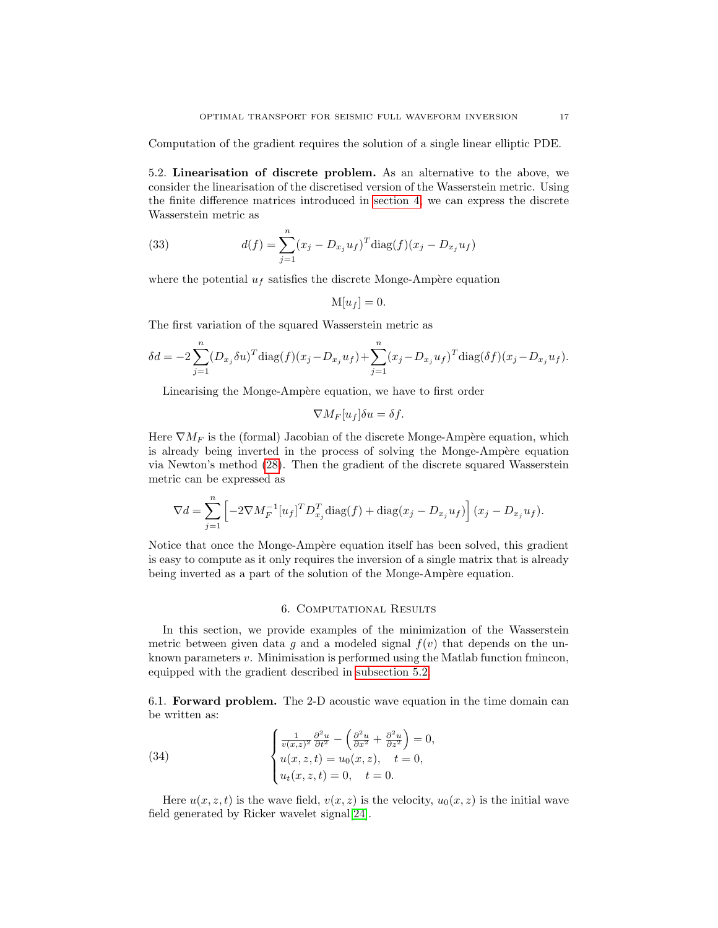Computation of the gradient requires the solution of a single linear elliptic PDE.

<span id="page-16-1"></span>5.2. Linearisation of discrete problem. As an alternative to the above, we consider the linearisation of the discretised version of the Wasserstein metric. Using the finite difference matrices introduced in [section 4,](#page-11-0) we can express the discrete Wasserstein metric as

(33) 
$$
d(f) = \sum_{j=1}^{n} (x_j - D_{x_j} u_f)^T \text{diag}(f)(x_j - D_{x_j} u_f)
$$

where the potential  $u_f$  satisfies the discrete Monge-Ampère equation

$$
\mathbf{M}[u_f] = 0.
$$

The first variation of the squared Wasserstein metric as

$$
\delta d = -2 \sum_{j=1}^{n} (D_{x_j} \delta u)^T \text{diag}(f)(x_j - D_{x_j} u_f) + \sum_{j=1}^{n} (x_j - D_{x_j} u_f)^T \text{diag}(\delta f)(x_j - D_{x_j} u_f).
$$

Linearising the Monge-Ampère equation, we have to first order

$$
\nabla M_F[u_f]\delta u = \delta f.
$$

Here  $\nabla M_F$  is the (formal) Jacobian of the discrete Monge-Ampère equation, which is already being inverted in the process of solving the Monge-Ampère equation via Newton's method [\(28\)](#page-13-1). Then the gradient of the discrete squared Wasserstein metric can be expressed as

$$
\nabla d = \sum_{j=1}^{n} \left[ -2\nabla M_F^{-1} [u_f]^T D_{x_j}^T \text{diag}(f) + \text{diag}(x_j - D_{x_j} u_f) \right] (x_j - D_{x_j} u_f).
$$

Notice that once the Monge-Ampère equation itself has been solved, this gradient is easy to compute as it only requires the inversion of a single matrix that is already being inverted as a part of the solution of the Monge-Ampère equation.

## 6. Computational Results

<span id="page-16-0"></span>In this section, we provide examples of the minimization of the Wasserstein metric between given data g and a modeled signal  $f(v)$  that depends on the unknown parameters  $v$ . Minimisation is performed using the Matlab function fmincon, equipped with the gradient described in [subsection 5.2.](#page-16-1)

<span id="page-16-2"></span>6.1. Forward problem. The 2-D acoustic wave equation in the time domain can be written as:

(34) 
$$
\begin{cases} \frac{1}{v(x,z)^2} \frac{\partial^2 u}{\partial t^2} - \left( \frac{\partial^2 u}{\partial x^2} + \frac{\partial^2 u}{\partial z^2} \right) = 0, \\ u(x,z,t) = u_0(x,z), \quad t = 0, \\ u_t(x,z,t) = 0, \quad t = 0. \end{cases}
$$

Here  $u(x, z, t)$  is the wave field,  $v(x, z)$  is the velocity,  $u_0(x, z)$  is the initial wave field generated by Ricker wavelet signal[\[24\]](#page-24-3).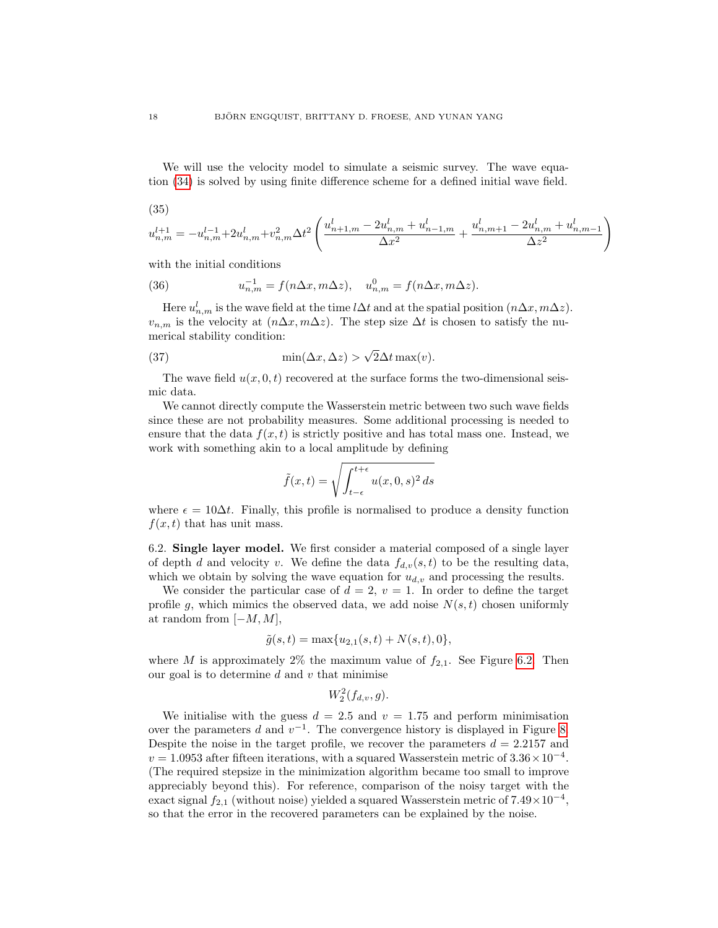We will use the velocity model to simulate a seismic survey. The wave equation [\(34\)](#page-16-2) is solved by using finite difference scheme for a defined initial wave field.

(35)

$$
u_{n,m}^{l+1} = -u_{n,m}^{l-1} + 2u_{n,m}^l + v_{n,m}^2 \Delta t^2 \left( \frac{u_{n+1,m}^l - 2u_{n,m}^l + u_{n-1,m}^l}{\Delta x^2} + \frac{u_{n,m+1}^l - 2u_{n,m}^l + u_{n,m-1}^l}{\Delta z^2} \right)
$$

with the initial conditions

(36) 
$$
u_{n,m}^{-1} = f(n\Delta x, m\Delta z), \quad u_{n,m}^{0} = f(n\Delta x, m\Delta z).
$$

Here  $u_{n,m}^l$  is the wave field at the time l∆t and at the spatial position  $(n\Delta x, m\Delta z)$ .  $v_{n,m}$  is the velocity at  $(n\Delta x, m\Delta z)$ . The step size  $\Delta t$  is chosen to satisfy the numerical stability condition:

(37) 
$$
\min(\Delta x, \Delta z) > \sqrt{2}\Delta t \max(v).
$$

The wave field  $u(x, 0, t)$  recovered at the surface forms the two-dimensional seismic data.

We cannot directly compute the Wasserstein metric between two such wave fields since these are not probability measures. Some additional processing is needed to ensure that the data  $f(x, t)$  is strictly positive and has total mass one. Instead, we work with something akin to a local amplitude by defining

$$
\tilde{f}(x,t) = \sqrt{\int_{t-\epsilon}^{t+\epsilon} u(x,0,s)^2 ds}
$$

where  $\epsilon = 10\Delta t$ . Finally, this profile is normalised to produce a density function  $f(x, t)$  that has unit mass.

<span id="page-17-0"></span>6.2. Single layer model. We first consider a material composed of a single layer of depth d and velocity v. We define the data  $f_{d,v}(s,t)$  to be the resulting data, which we obtain by solving the wave equation for  $u_{d,v}$  and processing the results.

We consider the particular case of  $d = 2, v = 1$ . In order to define the target profile g, which mimics the observed data, we add noise  $N(s,t)$  chosen uniformly at random from  $[-M, M]$ ,

$$
\tilde{g}(s,t) = \max\{u_{2,1}(s,t) + N(s,t), 0\},\
$$

where M is approximately 2% the maximum value of  $f_{2,1}$ . See Figure [6.2.](#page-17-0) Then our goal is to determine  $d$  and  $v$  that minimise

 $W_2^2(f_{d,v}, g)$ .

We initialise with the guess  $d = 2.5$  and  $v = 1.75$  and perform minimisation over the parameters d and  $v^{-1}$ . The convergence history is displayed in Figure [8.](#page-19-0) Despite the noise in the target profile, we recover the parameters  $d = 2.2157$  and  $v = 1.0953$  after fifteen iterations, with a squared Wasserstein metric of  $3.36 \times 10^{-4}$ . (The required stepsize in the minimization algorithm became too small to improve appreciably beyond this). For reference, comparison of the noisy target with the exact signal  $f_{2,1}$  (without noise) yielded a squared Wasserstein metric of  $7.49 \times 10^{-4}$ , so that the error in the recovered parameters can be explained by the noise.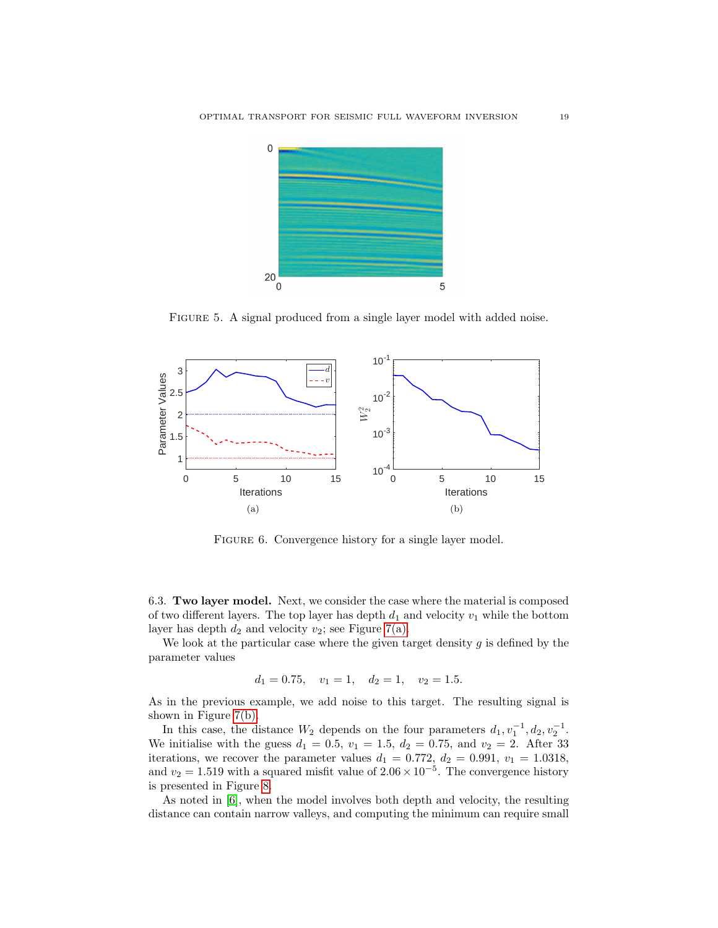

Figure 5. A signal produced from a single layer model with added noise.



FIGURE 6. Convergence history for a single layer model.

6.3. Two layer model. Next, we consider the case where the material is composed of two different layers. The top layer has depth  $d_1$  and velocity  $v_1$  while the bottom layer has depth  $d_2$  and velocity  $v_2$ ; see Figure [7\(a\).](#page-19-1)

We look at the particular case where the given target density  $g$  is defined by the parameter values

$$
d_1 = 0.75
$$
,  $v_1 = 1$ ,  $d_2 = 1$ ,  $v_2 = 1.5$ .

As in the previous example, we add noise to this target. The resulting signal is shown in Figure [7\(b\).](#page-19-2)

In this case, the distance  $W_2$  depends on the four parameters  $d_1, v_1^{-1}, d_2, v_2^{-1}$ . We initialise with the guess  $d_1 = 0.5$ ,  $v_1 = 1.5$ ,  $d_2 = 0.75$ , and  $v_2 = 2$ . After 33 iterations, we recover the parameter values  $d_1 = 0.772$ ,  $d_2 = 0.991$ ,  $v_1 = 1.0318$ , and  $v_2 = 1.519$  with a squared misfit value of  $2.06 \times 10^{-5}$ . The convergence history is presented in Figure [8.](#page-19-0)

As noted in [\[6\]](#page-23-8), when the model involves both depth and velocity, the resulting distance can contain narrow valleys, and computing the minimum can require small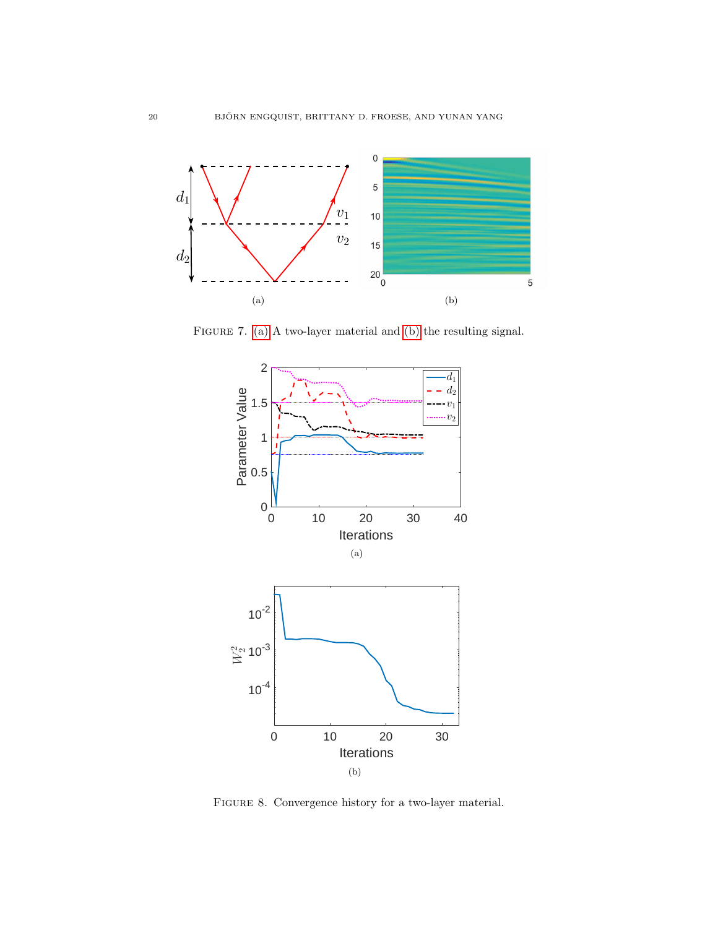<span id="page-19-1"></span>

FIGURE 7. [\(a\)](#page-19-1) A two-layer material and [\(b\)](#page-19-2) the resulting signal.

<span id="page-19-2"></span>

<span id="page-19-0"></span>FIGURE 8. Convergence history for a two-layer material.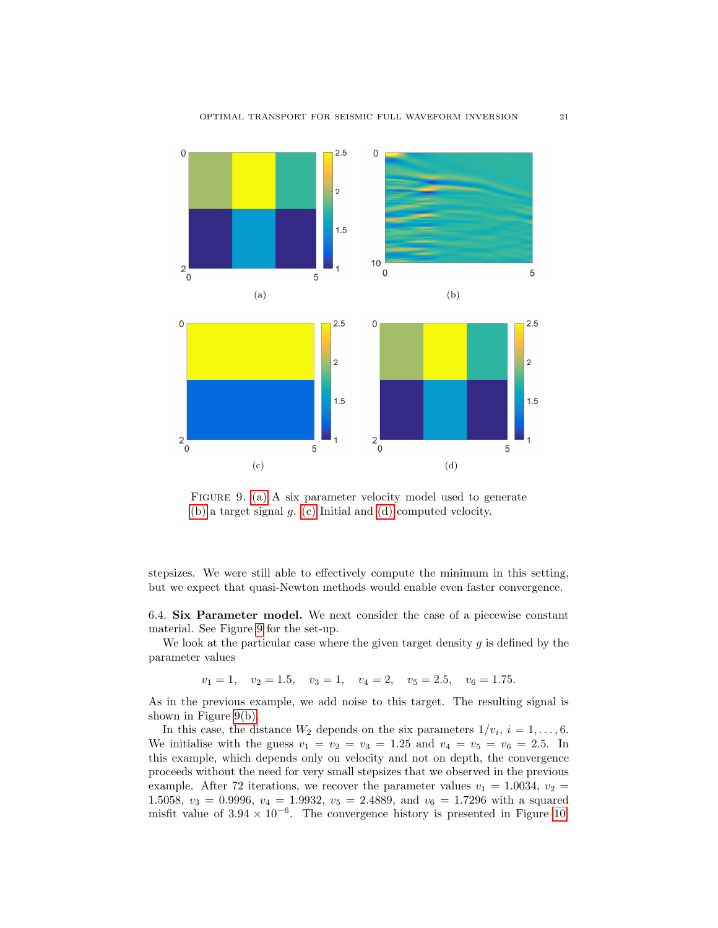<span id="page-20-1"></span><span id="page-20-0"></span>

<span id="page-20-4"></span><span id="page-20-3"></span><span id="page-20-2"></span>FIGURE 9. [\(a\)](#page-20-0) A six parameter velocity model used to generate [\(b\)](#page-20-1) a target signal g. [\(c\)](#page-20-2) Initial and [\(d\)](#page-20-3) computed velocity.

stepsizes. We were still able to effectively compute the minimum in this setting, but we expect that quasi-Newton methods would enable even faster convergence.

<span id="page-20-5"></span>6.4. Six Parameter model. We next consider the case of a piecewise constant material. See Figure [9](#page-20-4) for the set-up.

We look at the particular case where the given target density  $g$  is defined by the parameter values

 $v_1 = 1$ ,  $v_2 = 1.5$ ,  $v_3 = 1$ ,  $v_4 = 2$ ,  $v_5 = 2.5$ ,  $v_6 = 1.75$ .

As in the previous example, we add noise to this target. The resulting signal is shown in Figure [9\(b\).](#page-20-1)

In this case, the distance  $W_2$  depends on the six parameters  $1/v_i$ ,  $i = 1, \ldots, 6$ . We initialise with the guess  $v_1 = v_2 = v_3 = 1.25$  and  $v_4 = v_5 = v_6 = 2.5$ . In this example, which depends only on velocity and not on depth, the convergence proceeds without the need for very small stepsizes that we observed in the previous example. After 72 iterations, we recover the parameter values  $v_1 = 1.0034, v_2 =$ 1.5058,  $v_3 = 0.9996$ ,  $v_4 = 1.9932$ ,  $v_5 = 2.4889$ , and  $v_6 = 1.7296$  with a squared misfit value of  $3.94 \times 10^{-6}$ . The convergence history is presented in Figure [10.](#page-21-0)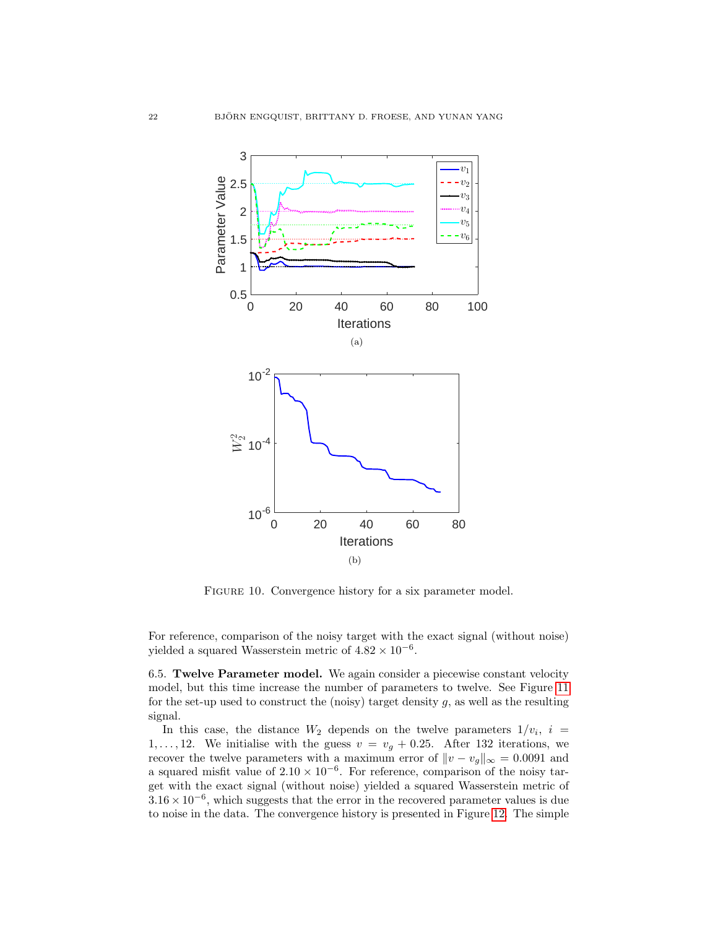

<span id="page-21-0"></span>FIGURE 10. Convergence history for a six parameter model.

For reference, comparison of the noisy target with the exact signal (without noise) yielded a squared Wasserstein metric of  $4.82 \times 10^{-6}$ .

6.5. Twelve Parameter model. We again consider a piecewise constant velocity model, but this time increase the number of parameters to twelve. See Figure [11](#page-22-0) for the set-up used to construct the (noisy) target density  $g$ , as well as the resulting signal.

In this case, the distance  $W_2$  depends on the twelve parameters  $1/v_i$ ,  $i =$ 1,..., 12. We initialise with the guess  $v = v_g + 0.25$ . After 132 iterations, we recover the twelve parameters with a maximum error of  $||v - v_g||_{\infty} = 0.0091$  and a squared misfit value of  $2.10 \times 10^{-6}$ . For reference, comparison of the noisy target with the exact signal (without noise) yielded a squared Wasserstein metric of  $3.16 \times 10^{-6}$ , which suggests that the error in the recovered parameter values is due to noise in the data. The convergence history is presented in Figure [12.](#page-22-1) The simple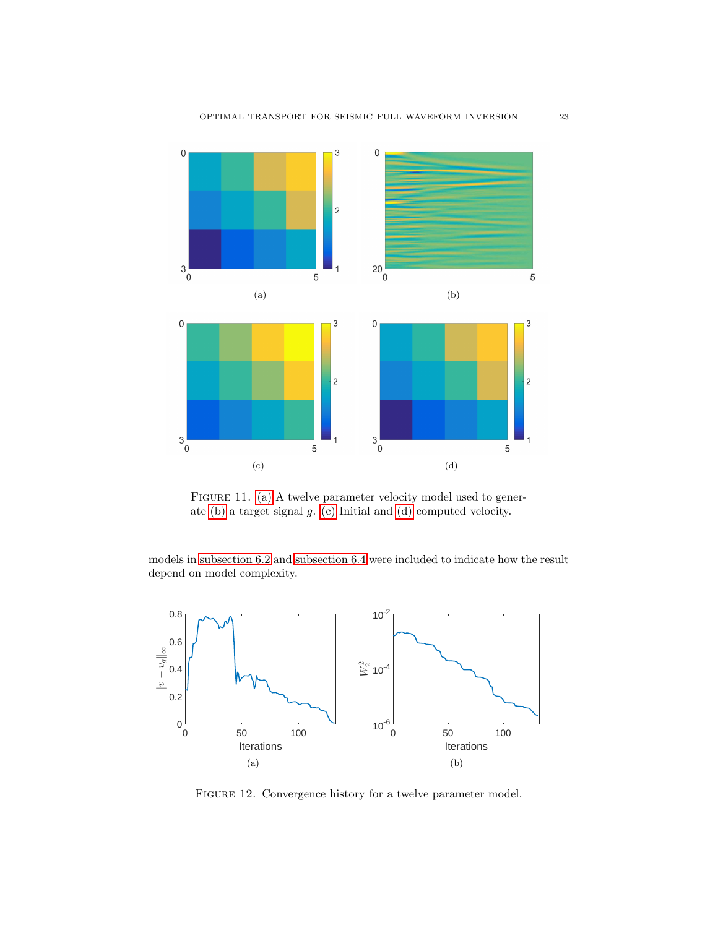<span id="page-22-3"></span><span id="page-22-2"></span>

<span id="page-22-5"></span><span id="page-22-4"></span><span id="page-22-0"></span>FIGURE 11. [\(a\)](#page-22-2) A twelve parameter velocity model used to generate [\(b\)](#page-22-3) a target signal g. [\(c\)](#page-22-4) Initial and [\(d\)](#page-22-5) computed velocity.

models in [subsection 6.2](#page-17-0) and [subsection 6.4](#page-20-5) were included to indicate how the result depend on model complexity.



<span id="page-22-1"></span>FIGURE 12. Convergence history for a twelve parameter model.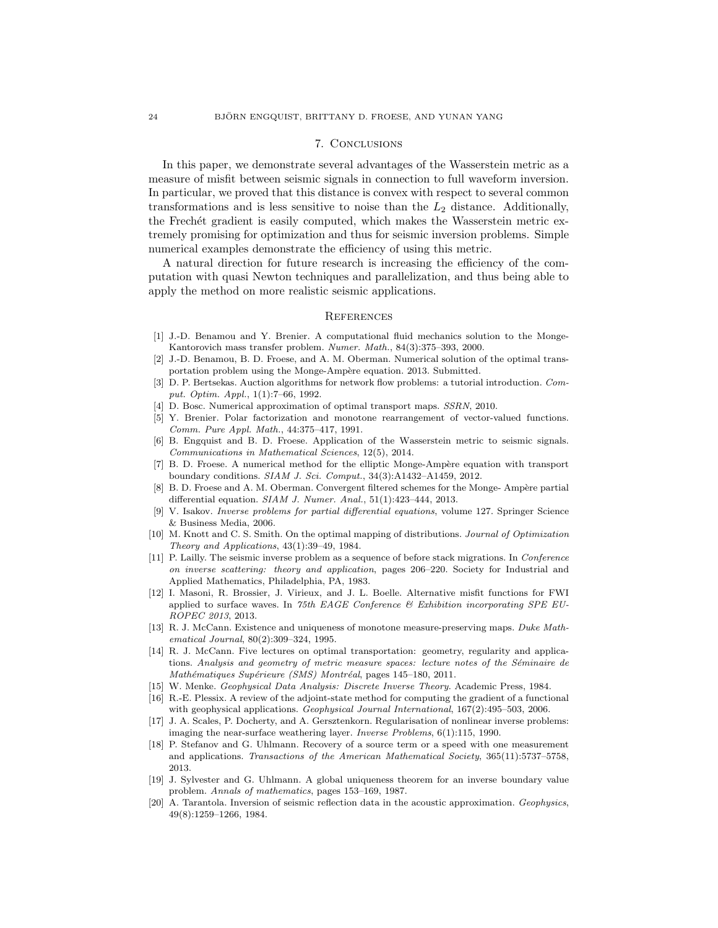## 7. Conclusions

In this paper, we demonstrate several advantages of the Wasserstein metric as a measure of misfit between seismic signals in connection to full waveform inversion. In particular, we proved that this distance is convex with respect to several common transformations and is less sensitive to noise than the  $L_2$  distance. Additionally, the Frechet gradient is easily computed, which makes the Wasserstein metric extremely promising for optimization and thus for seismic inversion problems. Simple numerical examples demonstrate the efficiency of using this metric.

A natural direction for future research is increasing the efficiency of the computation with quasi Newton techniques and parallelization, and thus being able to apply the method on more realistic seismic applications.

#### **REFERENCES**

- <span id="page-23-9"></span>[1] J.-D. Benamou and Y. Brenier. A computational fluid mechanics solution to the Monge-Kantorovich mass transfer problem. Numer. Math., 84(3):375–393, 2000.
- <span id="page-23-14"></span>[2] J.-D. Benamou, B. D. Froese, and A. M. Oberman. Numerical solution of the optimal transportation problem using the Monge-Ampère equation. 2013. Submitted.
- <span id="page-23-10"></span>[3] D. P. Bertsekas. Auction algorithms for network flow problems: a tutorial introduction. Comput. Optim. Appl., 1(1):7–66, 1992.
- <span id="page-23-11"></span>[4] D. Bosc. Numerical approximation of optimal transport maps. SSRN, 2010.
- <span id="page-23-12"></span>[5] Y. Brenier. Polar factorization and monotone rearrangement of vector-valued functions. Comm. Pure Appl. Math., 44:375–417, 1991.
- <span id="page-23-8"></span>[6] B. Engquist and B. D. Froese. Application of the Wasserstein metric to seismic signals. Communications in Mathematical Sciences, 12(5), 2014.
- <span id="page-23-17"></span>[7] B. D. Froese. A numerical method for the elliptic Monge-Ampère equation with transport boundary conditions.  $SIAM$  J. Sci. Comput., 34(3):A1432-A1459, 2012.
- <span id="page-23-18"></span>[8] B. D. Froese and A. M. Oberman. Convergent filtered schemes for the Monge- Ampère partial differential equation. SIAM J. Numer. Anal., 51(1):423–444, 2013.
- <span id="page-23-4"></span>[9] V. Isakov. Inverse problems for partial differential equations, volume 127. Springer Science & Business Media, 2006.
- <span id="page-23-13"></span>[10] M. Knott and C. S. Smith. On the optimal mapping of distributions. Journal of Optimization Theory and Applications, 43(1):39–49, 1984.
- <span id="page-23-0"></span>[11] P. Lailly. The seismic inverse problem as a sequence of before stack migrations. In Conference on inverse scattering: theory and application, pages 206–220. Society for Industrial and Applied Mathematics, Philadelphia, PA, 1983.
- <span id="page-23-7"></span>[12] I. Masoni, R. Brossier, J. Virieux, and J. L. Boelle. Alternative misfit functions for FWI applied to surface waves. In 75th EAGE Conference  $\mathcal B$  Exhibition incorporating SPE EU-ROPEC 2013, 2013.
- <span id="page-23-16"></span>[13] R. J. McCann. Existence and uniqueness of monotone measure-preserving maps. Duke Mathematical Journal, 80(2):309–324, 1995.
- <span id="page-23-15"></span>[14] R. J. McCann. Five lectures on optimal transportation: geometry, regularity and applications. Analysis and geometry of metric measure spaces: lecture notes of the Séminaire de Mathématiques Supérieure (SMS) Montréal, pages 145-180, 2011.
- <span id="page-23-2"></span>[15] W. Menke. Geophysical Data Analysis: Discrete Inverse Theory. Academic Press, 1984.
- <span id="page-23-19"></span>[16] R.-E. Plessix. A review of the adjoint-state method for computing the gradient of a functional with geophysical applications. Geophysical Journal International, 167(2):495–503, 2006.
- <span id="page-23-3"></span>[17] J. A. Scales, P. Docherty, and A. Gersztenkorn. Regularisation of nonlinear inverse problems: imaging the near-surface weathering layer. Inverse Problems, 6(1):115, 1990.
- <span id="page-23-5"></span>[18] P. Stefanov and G. Uhlmann. Recovery of a source term or a speed with one measurement and applications. Transactions of the American Mathematical Society, 365(11):5737–5758, 2013.
- <span id="page-23-6"></span>[19] J. Sylvester and G. Uhlmann. A global uniqueness theorem for an inverse boundary value problem. Annals of mathematics, pages 153–169, 1987.
- <span id="page-23-1"></span>[20] A. Tarantola. Inversion of seismic reflection data in the acoustic approximation. Geophysics, 49(8):1259–1266, 1984.